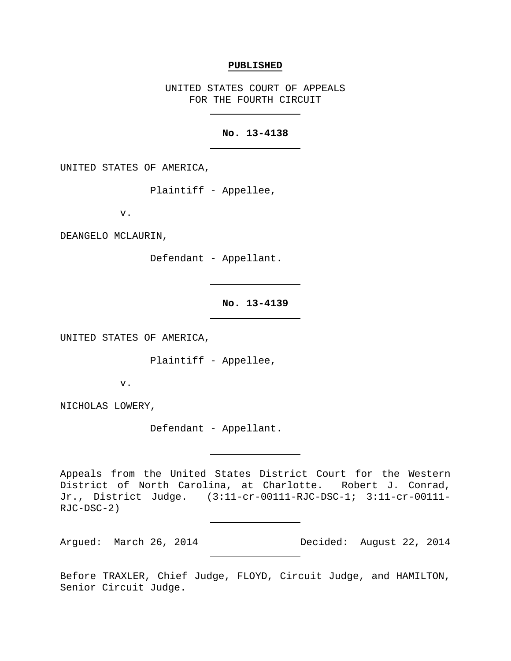#### **PUBLISHED**

UNITED STATES COURT OF APPEALS FOR THE FOURTH CIRCUIT

# **No. 13-4138**

UNITED STATES OF AMERICA,

Plaintiff - Appellee,

v.

DEANGELO MCLAURIN,

Defendant - Appellant.

**No. 13-4139**

UNITED STATES OF AMERICA,

Plaintiff - Appellee,

v.

NICHOLAS LOWERY,

Defendant - Appellant.

Appeals from the United States District Court for the Western District of North Carolina, at Charlotte. Robert J. Conrad, Jr., District Judge. (3:11-cr-00111-RJC-DSC-1; 3:11-cr-00111- RJC-DSC-2)

Argued: March 26, 2014 Decided: August 22, 2014

Before TRAXLER, Chief Judge, FLOYD, Circuit Judge, and HAMILTON, Senior Circuit Judge.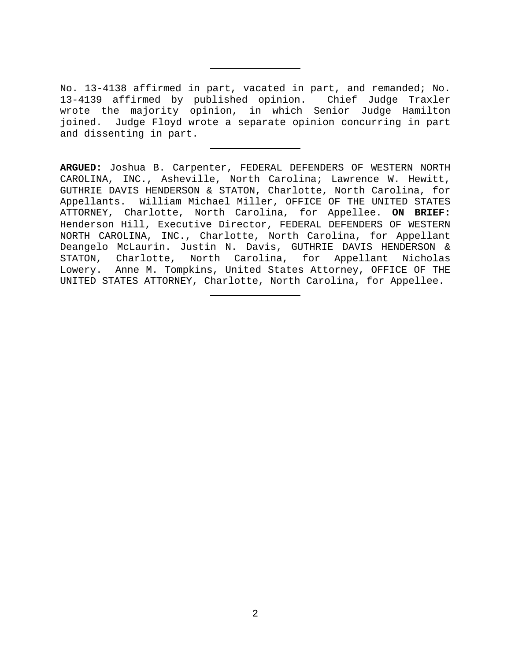No. 13-4138 affirmed in part, vacated in part, and remanded; No. 13-4139 affirmed by published opinion. Chief Judge Traxler wrote the majority opinion, in which Senior Judge Hamilton joined. Judge Floyd wrote a separate opinion concurring in part and dissenting in part.

**ARGUED:** Joshua B. Carpenter, FEDERAL DEFENDERS OF WESTERN NORTH CAROLINA, INC., Asheville, North Carolina; Lawrence W. Hewitt, GUTHRIE DAVIS HENDERSON & STATON, Charlotte, North Carolina, for Appellants. William Michael Miller, OFFICE OF THE UNITED STATES ATTORNEY, Charlotte, North Carolina, for Appellee. **ON BRIEF:** Henderson Hill, Executive Director, FEDERAL DEFENDERS OF WESTERN NORTH CAROLINA, INC., Charlotte, North Carolina, for Appellant Deangelo McLaurin. Justin N. Davis, GUTHRIE DAVIS HENDERSON &<br>STATON, Charlotte, North Carolina, for Appellant Nicholas Charlotte, North Carolina, for Appellant Nicholas Lowery. Anne M. Tompkins, United States Attorney, OFFICE OF THE UNITED STATES ATTORNEY, Charlotte, North Carolina, for Appellee.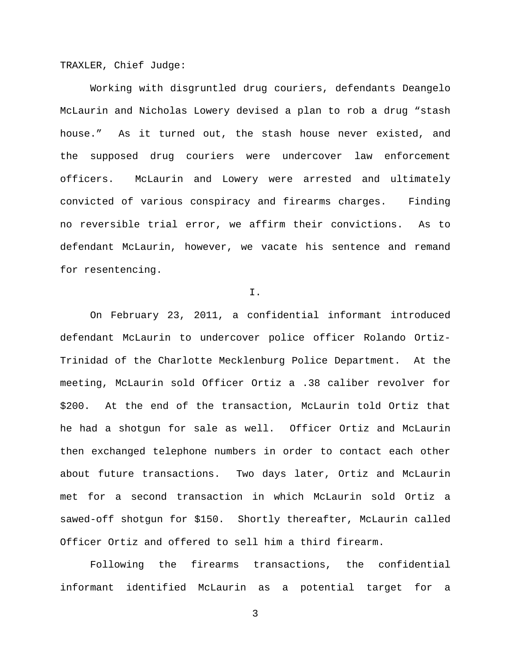TRAXLER, Chief Judge:

Working with disgruntled drug couriers, defendants Deangelo McLaurin and Nicholas Lowery devised a plan to rob a drug "stash house." As it turned out, the stash house never existed, and the supposed drug couriers were undercover law enforcement officers. McLaurin and Lowery were arrested and ultimately convicted of various conspiracy and firearms charges. Finding no reversible trial error, we affirm their convictions. As to defendant McLaurin, however, we vacate his sentence and remand for resentencing.

I.

On February 23, 2011, a confidential informant introduced defendant McLaurin to undercover police officer Rolando Ortiz-Trinidad of the Charlotte Mecklenburg Police Department. At the meeting, McLaurin sold Officer Ortiz a .38 caliber revolver for \$200. At the end of the transaction, McLaurin told Ortiz that he had a shotgun for sale as well. Officer Ortiz and McLaurin then exchanged telephone numbers in order to contact each other about future transactions. Two days later, Ortiz and McLaurin met for a second transaction in which McLaurin sold Ortiz a sawed-off shotgun for \$150. Shortly thereafter, McLaurin called Officer Ortiz and offered to sell him a third firearm.

Following the firearms transactions, the confidential informant identified McLaurin as a potential target for a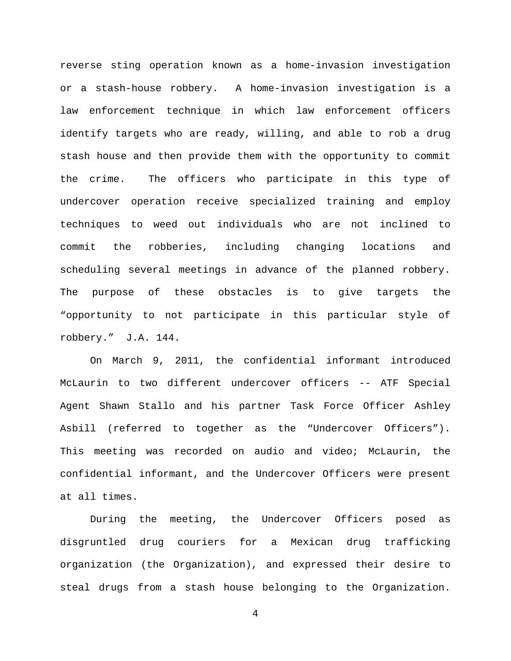reverse sting operation known as a home-invasion investigation or a stash-house robbery. A home-invasion investigation is a law enforcement technique in which law enforcement officers identify targets who are ready, willing, and able to rob a drug stash house and then provide them with the opportunity to commit the crime. The officers who participate in this type of undercover operation receive specialized training and employ techniques to weed out individuals who are not inclined to commit the robberies, including changing locations and scheduling several meetings in advance of the planned robbery. The purpose of these obstacles is to give targets the "opportunity to not participate in this particular style of robbery." J.A. 144.

On March 9, 2011, the confidential informant introduced McLaurin to two different undercover officers -- ATF Special Agent Shawn Stallo and his partner Task Force Officer Ashley Asbill (referred to together as the "Undercover Officers"). This meeting was recorded on audio and video; McLaurin, the confidential informant, and the Undercover Officers were present at all times.

During the meeting, the Undercover Officers posed as disgruntled drug couriers for a Mexican drug trafficking organization (the Organization), and expressed their desire to steal drugs from a stash house belonging to the Organization.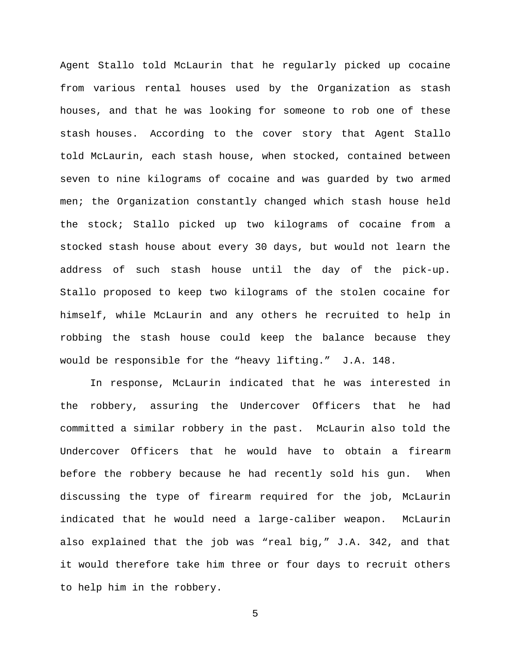Agent Stallo told McLaurin that he regularly picked up cocaine from various rental houses used by the Organization as stash houses, and that he was looking for someone to rob one of these stash houses. According to the cover story that Agent Stallo told McLaurin, each stash house, when stocked, contained between seven to nine kilograms of cocaine and was guarded by two armed men; the Organization constantly changed which stash house held the stock; Stallo picked up two kilograms of cocaine from a stocked stash house about every 30 days, but would not learn the address of such stash house until the day of the pick-up. Stallo proposed to keep two kilograms of the stolen cocaine for himself, while McLaurin and any others he recruited to help in robbing the stash house could keep the balance because they would be responsible for the "heavy lifting." J.A. 148.

In response, McLaurin indicated that he was interested in the robbery, assuring the Undercover Officers that he had committed a similar robbery in the past. McLaurin also told the Undercover Officers that he would have to obtain a firearm before the robbery because he had recently sold his gun. When discussing the type of firearm required for the job, McLaurin indicated that he would need a large-caliber weapon. McLaurin also explained that the job was "real big," J.A. 342, and that it would therefore take him three or four days to recruit others to help him in the robbery.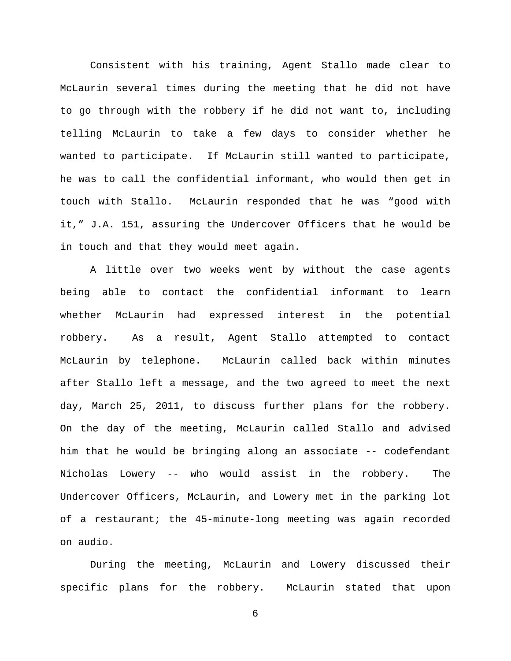Consistent with his training, Agent Stallo made clear to McLaurin several times during the meeting that he did not have to go through with the robbery if he did not want to, including telling McLaurin to take a few days to consider whether he wanted to participate. If McLaurin still wanted to participate, he was to call the confidential informant, who would then get in touch with Stallo. McLaurin responded that he was "good with it," J.A. 151, assuring the Undercover Officers that he would be in touch and that they would meet again.

A little over two weeks went by without the case agents being able to contact the confidential informant to learn whether McLaurin had expressed interest in the potential robbery. As a result, Agent Stallo attempted to contact McLaurin by telephone. McLaurin called back within minutes after Stallo left a message, and the two agreed to meet the next day, March 25, 2011, to discuss further plans for the robbery. On the day of the meeting, McLaurin called Stallo and advised him that he would be bringing along an associate -- codefendant Nicholas Lowery -- who would assist in the robbery. The Undercover Officers, McLaurin, and Lowery met in the parking lot of a restaurant; the 45-minute-long meeting was again recorded on audio.

During the meeting, McLaurin and Lowery discussed their specific plans for the robbery. McLaurin stated that upon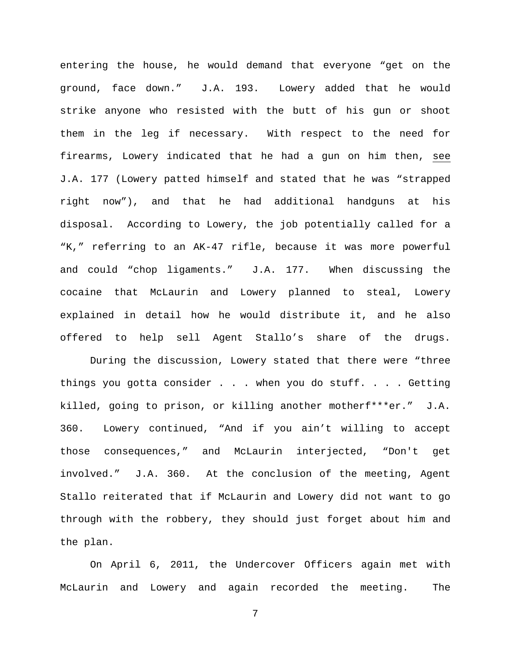entering the house, he would demand that everyone "get on the ground, face down." J.A. 193. Lowery added that he would strike anyone who resisted with the butt of his gun or shoot them in the leg if necessary. With respect to the need for firearms, Lowery indicated that he had a gun on him then, see J.A. 177 (Lowery patted himself and stated that he was "strapped right now"), and that he had additional handguns at his disposal. According to Lowery, the job potentially called for a "K," referring to an AK-47 rifle, because it was more powerful and could "chop ligaments." J.A. 177. When discussing the cocaine that McLaurin and Lowery planned to steal, Lowery explained in detail how he would distribute it, and he also offered to help sell Agent Stallo's share of the drugs.

During the discussion, Lowery stated that there were "three things you gotta consider . . . when you do stuff. . . . Getting killed, going to prison, or killing another motherf\*\*\*er." J.A. 360. Lowery continued, "And if you ain't willing to accept those consequences," and McLaurin interjected, "Don't get involved." J.A. 360. At the conclusion of the meeting, Agent Stallo reiterated that if McLaurin and Lowery did not want to go through with the robbery, they should just forget about him and the plan.

On April 6, 2011, the Undercover Officers again met with McLaurin and Lowery and again recorded the meeting. The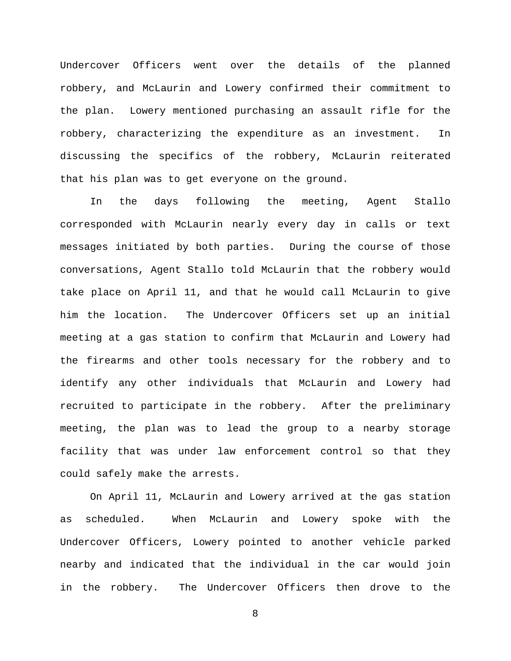Undercover Officers went over the details of the planned robbery, and McLaurin and Lowery confirmed their commitment to the plan. Lowery mentioned purchasing an assault rifle for the robbery, characterizing the expenditure as an investment. In discussing the specifics of the robbery, McLaurin reiterated that his plan was to get everyone on the ground.

In the days following the meeting, Agent Stallo corresponded with McLaurin nearly every day in calls or text messages initiated by both parties. During the course of those conversations, Agent Stallo told McLaurin that the robbery would take place on April 11, and that he would call McLaurin to give him the location. The Undercover Officers set up an initial meeting at a gas station to confirm that McLaurin and Lowery had the firearms and other tools necessary for the robbery and to identify any other individuals that McLaurin and Lowery had recruited to participate in the robbery. After the preliminary meeting, the plan was to lead the group to a nearby storage facility that was under law enforcement control so that they could safely make the arrests.

On April 11, McLaurin and Lowery arrived at the gas station as scheduled. When McLaurin and Lowery spoke with the Undercover Officers, Lowery pointed to another vehicle parked nearby and indicated that the individual in the car would join in the robbery. The Undercover Officers then drove to the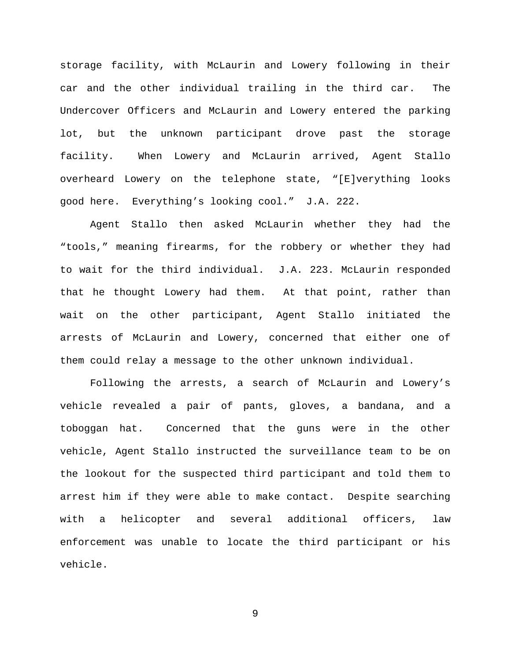storage facility, with McLaurin and Lowery following in their car and the other individual trailing in the third car. The Undercover Officers and McLaurin and Lowery entered the parking lot, but the unknown participant drove past the storage facility. When Lowery and McLaurin arrived, Agent Stallo overheard Lowery on the telephone state, "[E]verything looks good here. Everything's looking cool." J.A. 222.

Agent Stallo then asked McLaurin whether they had the "tools," meaning firearms, for the robbery or whether they had to wait for the third individual. J.A. 223. McLaurin responded that he thought Lowery had them. At that point, rather than wait on the other participant, Agent Stallo initiated the arrests of McLaurin and Lowery, concerned that either one of them could relay a message to the other unknown individual.

Following the arrests, a search of McLaurin and Lowery's vehicle revealed a pair of pants, gloves, a bandana, and a toboggan hat. Concerned that the guns were in the other vehicle, Agent Stallo instructed the surveillance team to be on the lookout for the suspected third participant and told them to arrest him if they were able to make contact. Despite searching with a helicopter and several additional officers, law enforcement was unable to locate the third participant or his vehicle.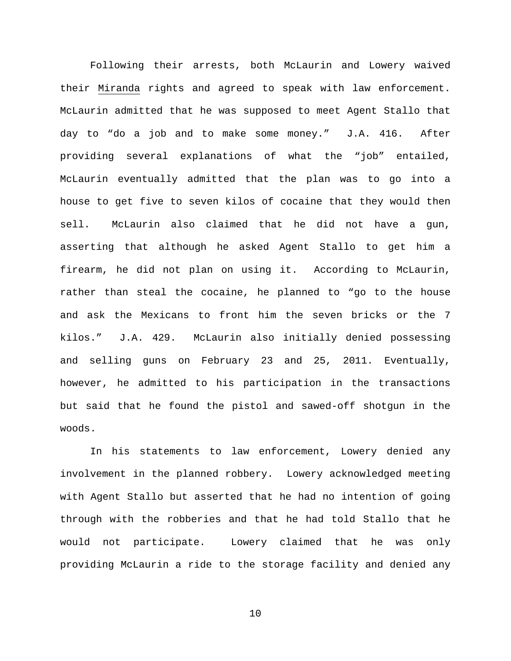Following their arrests, both McLaurin and Lowery waived their Miranda rights and agreed to speak with law enforcement. McLaurin admitted that he was supposed to meet Agent Stallo that day to "do a job and to make some money." J.A. 416. After providing several explanations of what the "job" entailed, McLaurin eventually admitted that the plan was to go into a house to get five to seven kilos of cocaine that they would then sell. McLaurin also claimed that he did not have a gun, asserting that although he asked Agent Stallo to get him a firearm, he did not plan on using it. According to McLaurin, rather than steal the cocaine, he planned to "go to the house and ask the Mexicans to front him the seven bricks or the 7 kilos." J.A. 429. McLaurin also initially denied possessing and selling guns on February 23 and 25, 2011. Eventually, however, he admitted to his participation in the transactions but said that he found the pistol and sawed-off shotgun in the woods.

In his statements to law enforcement, Lowery denied any involvement in the planned robbery. Lowery acknowledged meeting with Agent Stallo but asserted that he had no intention of going through with the robberies and that he had told Stallo that he would not participate. Lowery claimed that he was only providing McLaurin a ride to the storage facility and denied any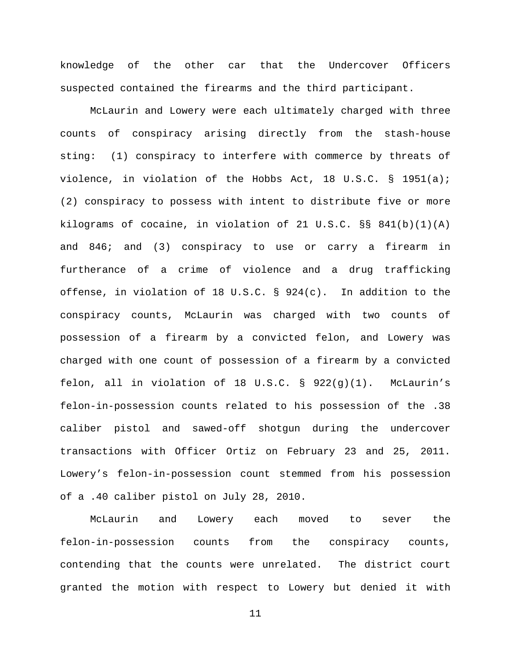knowledge of the other car that the Undercover Officers suspected contained the firearms and the third participant.

McLaurin and Lowery were each ultimately charged with three counts of conspiracy arising directly from the stash-house sting: (1) conspiracy to interfere with commerce by threats of violence, in violation of the Hobbs Act, 18 U.S.C. § 1951(a); (2) conspiracy to possess with intent to distribute five or more kilograms of cocaine, in violation of 21 U.S.C. §§ 841(b)(1)(A) and 846; and (3) conspiracy to use or carry a firearm in furtherance of a crime of violence and a drug trafficking offense, in violation of 18 U.S.C. § 924(c). In addition to the conspiracy counts, McLaurin was charged with two counts of possession of a firearm by a convicted felon, and Lowery was charged with one count of possession of a firearm by a convicted felon, all in violation of 18 U.S.C.  $\S$  922(g)(1). McLaurin's felon-in-possession counts related to his possession of the .38 caliber pistol and sawed-off shotgun during the undercover transactions with Officer Ortiz on February 23 and 25, 2011. Lowery's felon-in-possession count stemmed from his possession of a .40 caliber pistol on July 28, 2010.

McLaurin and Lowery each moved to sever the felon-in-possession counts from the conspiracy counts, contending that the counts were unrelated. The district court granted the motion with respect to Lowery but denied it with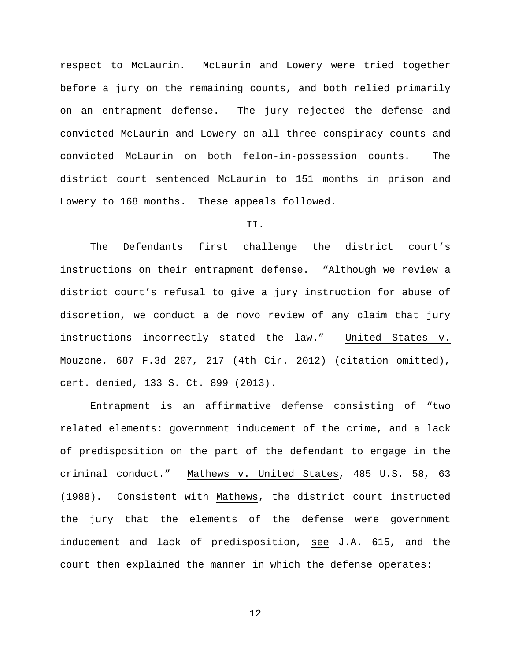respect to McLaurin. McLaurin and Lowery were tried together before a jury on the remaining counts, and both relied primarily on an entrapment defense. The jury rejected the defense and convicted McLaurin and Lowery on all three conspiracy counts and convicted McLaurin on both felon-in-possession counts. The district court sentenced McLaurin to 151 months in prison and Lowery to 168 months. These appeals followed.

### II.

The Defendants first challenge the district court's instructions on their entrapment defense. "Although we review a district court's refusal to give a jury instruction for abuse of discretion, we conduct a de novo review of any claim that jury instructions incorrectly stated the law." United States v. Mouzone, 687 F.3d 207, 217 (4th Cir. 2012) (citation omitted), cert. denied, 133 S. Ct. 899 (2013).

Entrapment is an affirmative defense consisting of "two related elements: government inducement of the crime, and a lack of predisposition on the part of the defendant to engage in the criminal conduct." Mathews v. United States, 485 U.S. 58, 63 (1988). Consistent with Mathews, the district court instructed the jury that the elements of the defense were government inducement and lack of predisposition, see J.A. 615, and the court then explained the manner in which the defense operates: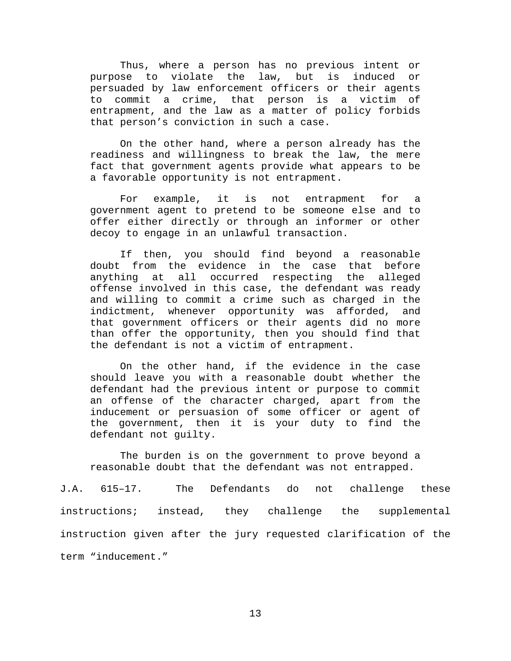Thus, where a person has no previous intent or purpose to violate the law, but is induced or persuaded by law enforcement officers or their agents to commit a crime, that person is a victim of entrapment, and the law as a matter of policy forbids that person's conviction in such a case.

On the other hand, where a person already has the readiness and willingness to break the law, the mere fact that government agents provide what appears to be a favorable opportunity is not entrapment.

For example, it is not entrapment for a government agent to pretend to be someone else and to offer either directly or through an informer or other decoy to engage in an unlawful transaction.

If then, you should find beyond a reasonable doubt from the evidence in the case that before anything at all occurred respecting the alleged offense involved in this case, the defendant was ready and willing to commit a crime such as charged in the indictment, whenever opportunity was afforded, and that government officers or their agents did no more than offer the opportunity, then you should find that the defendant is not a victim of entrapment.

On the other hand, if the evidence in the case should leave you with a reasonable doubt whether the defendant had the previous intent or purpose to commit an offense of the character charged, apart from the inducement or persuasion of some officer or agent of the government, then it is your duty to find the defendant not guilty.

The burden is on the government to prove beyond a reasonable doubt that the defendant was not entrapped.

J.A. 615–17. The Defendants do not challenge these instructions; instead, they challenge the supplemental instruction given after the jury requested clarification of the term "inducement."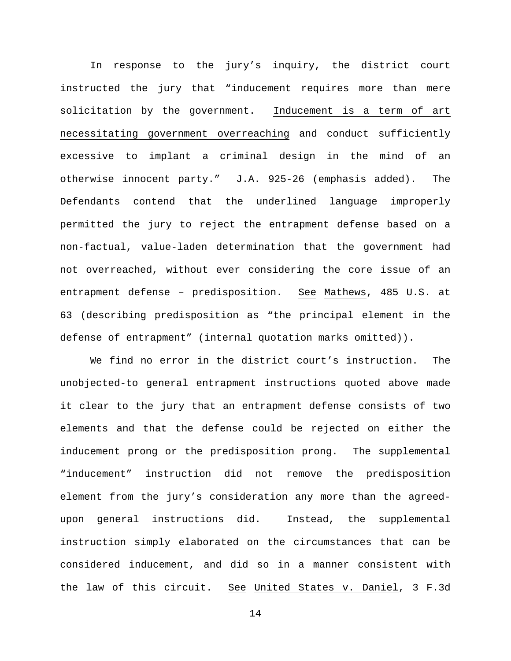In response to the jury's inquiry, the district court instructed the jury that "inducement requires more than mere solicitation by the government. Inducement is a term of art necessitating government overreaching and conduct sufficiently excessive to implant a criminal design in the mind of an otherwise innocent party." J.A. 925-26 (emphasis added). The Defendants contend that the underlined language improperly permitted the jury to reject the entrapment defense based on a non-factual, value-laden determination that the government had not overreached, without ever considering the core issue of an entrapment defense – predisposition. See Mathews, 485 U.S. at 63 (describing predisposition as "the principal element in the defense of entrapment" (internal quotation marks omitted)).

We find no error in the district court's instruction. The unobjected-to general entrapment instructions quoted above made it clear to the jury that an entrapment defense consists of two elements and that the defense could be rejected on either the inducement prong or the predisposition prong. The supplemental "inducement" instruction did not remove the predisposition element from the jury's consideration any more than the agreedupon general instructions did. Instead, the supplemental instruction simply elaborated on the circumstances that can be considered inducement, and did so in a manner consistent with the law of this circuit. See United States v. Daniel, 3 F.3d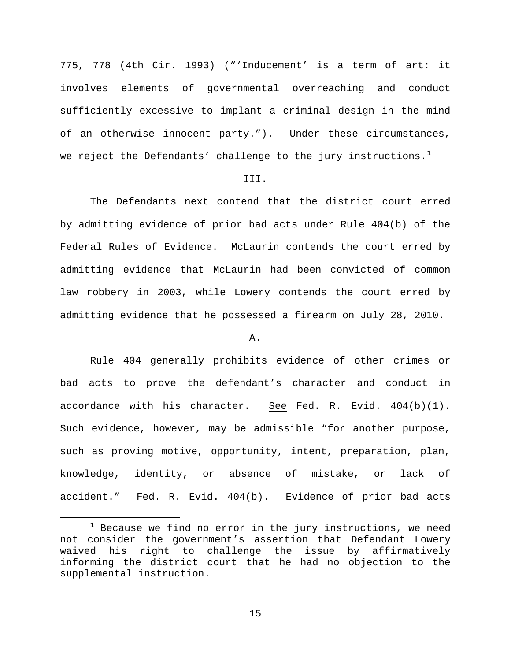775, 778 (4th Cir. 1993) ("'Inducement' is a term of art: it involves elements of governmental overreaching and conduct sufficiently excessive to implant a criminal design in the mind of an otherwise innocent party."). Under these circumstances, we reject the Defendants' challenge to the jury instructions.<sup>[1](#page-14-0)</sup>

### III.

The Defendants next contend that the district court erred by admitting evidence of prior bad acts under Rule 404(b) of the Federal Rules of Evidence. McLaurin contends the court erred by admitting evidence that McLaurin had been convicted of common law robbery in 2003, while Lowery contends the court erred by admitting evidence that he possessed a firearm on July 28, 2010.

### A.

Rule 404 generally prohibits evidence of other crimes or bad acts to prove the defendant's character and conduct in accordance with his character. See Fed. R. Evid. 404(b)(1). Such evidence, however, may be admissible "for another purpose, such as proving motive, opportunity, intent, preparation, plan, knowledge, identity, or absence of mistake, or lack of accident." Fed. R. Evid. 404(b). Evidence of prior bad acts

<span id="page-14-0"></span> $1$  Because we find no error in the jury instructions, we need not consider the government's assertion that Defendant Lowery waived his right to challenge the issue by affirmatively informing the district court that he had no objection to the supplemental instruction.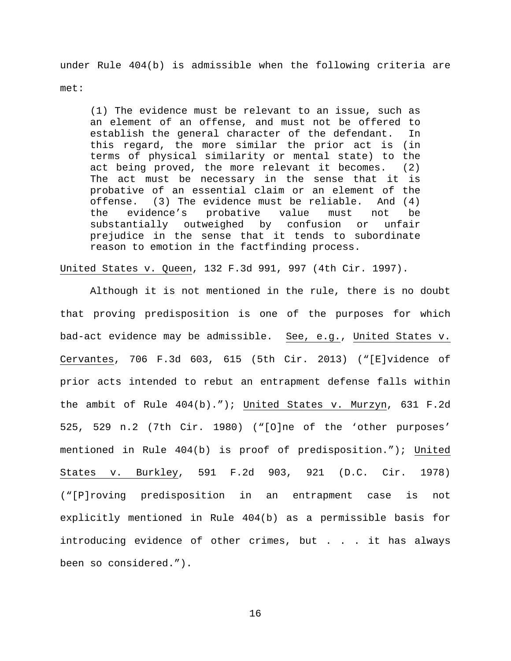under Rule 404(b) is admissible when the following criteria are met:

(1) The evidence must be relevant to an issue, such as an element of an offense, and must not be offered to establish the general character of the defendant. In this regard, the more similar the prior act is (in terms of physical similarity or mental state) to the act being proved, the more relevant it becomes. (2) The act must be necessary in the sense that it is probative of an essential claim or an element of the<br>offense. (3) The evidence must be reliable. And (4) e. (3) The evidence must be reliable.<br>evidence's probative value must the evidence's probative value must not be substantially outweighed by confusion or unfair prejudice in the sense that it tends to subordinate reason to emotion in the factfinding process.

United States v. Queen, 132 F.3d 991, 997 (4th Cir. 1997).

Although it is not mentioned in the rule, there is no doubt that proving predisposition is one of the purposes for which bad-act evidence may be admissible. See, e.g., United States v. Cervantes, 706 F.3d 603, 615 (5th Cir. 2013) ("[E]vidence of prior acts intended to rebut an entrapment defense falls within the ambit of Rule 404(b)."); United States v. Murzyn, 631 F.2d 525, 529 n.2 (7th Cir. 1980) ("[O]ne of the 'other purposes' mentioned in Rule 404(b) is proof of predisposition."); United States v. Burkley, 591 F.2d 903, 921 (D.C. Cir. 1978) ("[P]roving predisposition in an entrapment case is not explicitly mentioned in Rule 404(b) as a permissible basis for introducing evidence of other crimes, but . . . it has always been so considered.").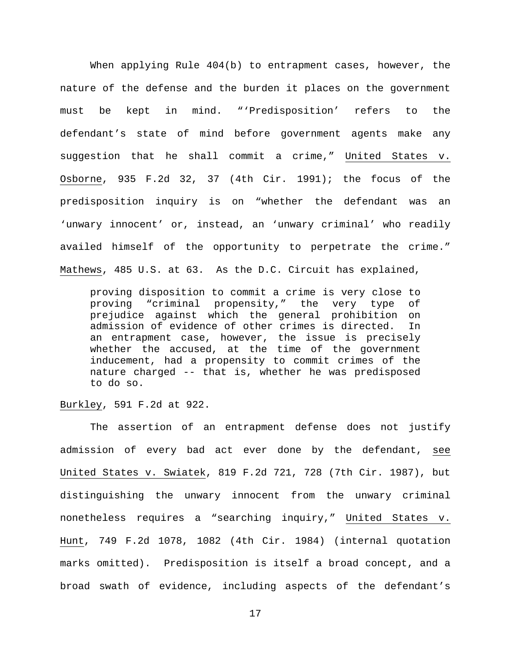When applying Rule 404(b) to entrapment cases, however, the nature of the defense and the burden it places on the government must be kept in mind. "'Predisposition' refers to the defendant's state of mind before government agents make any suggestion that he shall commit a crime," United States v. Osborne, 935 F.2d 32, 37 (4th Cir. 1991); the focus of the predisposition inquiry is on "whether the defendant was an 'unwary innocent' or, instead, an 'unwary criminal' who readily availed himself of the opportunity to perpetrate the crime." Mathews, 485 U.S. at 63. As the D.C. Circuit has explained,

proving disposition to commit a crime is very close to proving "criminal propensity," the very type of prejudice against which the general prohibition on admission of evidence of other crimes is directed. In an entrapment case, however, the issue is precisely whether the accused, at the time of the government inducement, had a propensity to commit crimes of the nature charged -- that is, whether he was predisposed to do so.

Burkley, 591 F.2d at 922.

The assertion of an entrapment defense does not justify admission of every bad act ever done by the defendant, see United States v. Swiatek, 819 F.2d 721, 728 (7th Cir. 1987), but distinguishing the unwary innocent from the unwary criminal nonetheless requires a "searching inquiry," United States v. Hunt, 749 F.2d 1078, 1082 (4th Cir. 1984) (internal quotation marks omitted). Predisposition is itself a broad concept, and a broad swath of evidence, including aspects of the defendant's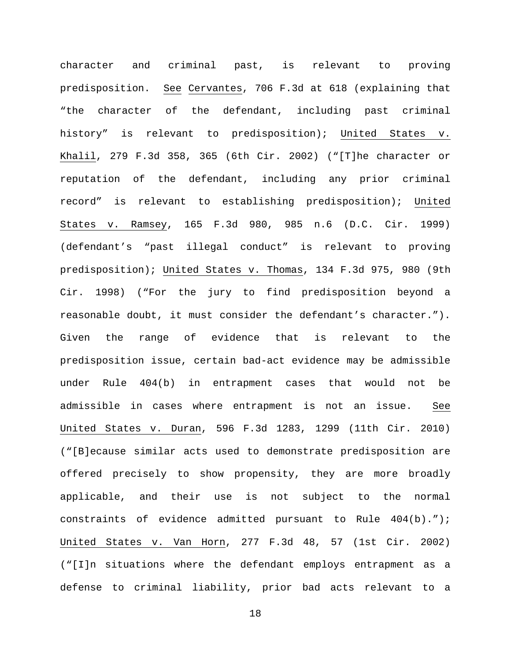character and criminal past, is relevant to proving predisposition. See Cervantes, 706 F.3d at 618 (explaining that "the character of the defendant, including past criminal history" is relevant to predisposition); United States v. Khalil, 279 F.3d 358, 365 (6th Cir. 2002) ("[T]he character or reputation of the defendant, including any prior criminal record" is relevant to establishing predisposition); United States v. Ramsey, 165 F.3d 980, 985 n.6 (D.C. Cir. 1999) (defendant's "past illegal conduct" is relevant to proving predisposition); United States v. Thomas, 134 F.3d 975, 980 (9th Cir. 1998) ("For the jury to find predisposition beyond a reasonable doubt, it must consider the defendant's character."). Given the range of evidence that is relevant to the predisposition issue, certain bad-act evidence may be admissible under Rule 404(b) in entrapment cases that would not be admissible in cases where entrapment is not an issue. See United States v. Duran, 596 F.3d 1283, 1299 (11th Cir. 2010) ("[B]ecause similar acts used to demonstrate predisposition are offered precisely to show propensity, they are more broadly applicable, and their use is not subject to the normal constraints of evidence admitted pursuant to Rule 404(b)."); United States v. Van Horn, 277 F.3d 48, 57 (1st Cir. 2002) ("[I]n situations where the defendant employs entrapment as a defense to criminal liability, prior bad acts relevant to a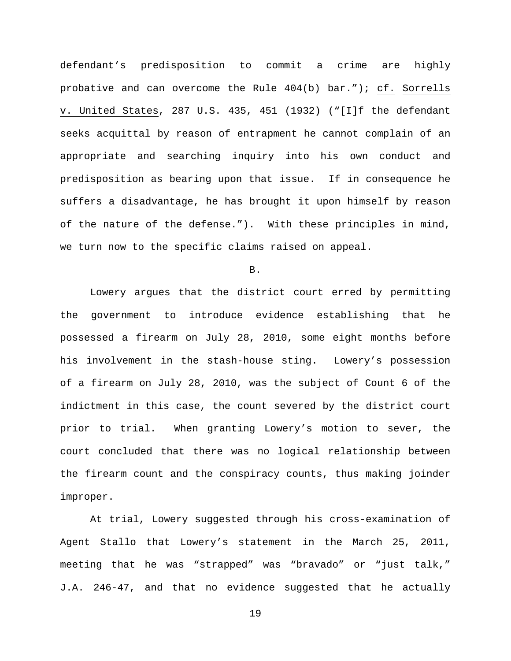defendant's predisposition to commit a crime are highly probative and can overcome the Rule 404(b) bar."); cf. Sorrells v. United States, 287 U.S. 435, 451 (1932) ("[I]f the defendant seeks acquittal by reason of entrapment he cannot complain of an appropriate and searching inquiry into his own conduct and predisposition as bearing upon that issue. If in consequence he suffers a disadvantage, he has brought it upon himself by reason of the nature of the defense."). With these principles in mind, we turn now to the specific claims raised on appeal.

B.

Lowery argues that the district court erred by permitting the government to introduce evidence establishing that he possessed a firearm on July 28, 2010, some eight months before his involvement in the stash-house sting. Lowery's possession of a firearm on July 28, 2010, was the subject of Count 6 of the indictment in this case, the count severed by the district court prior to trial. When granting Lowery's motion to sever, the court concluded that there was no logical relationship between the firearm count and the conspiracy counts, thus making joinder improper.

At trial, Lowery suggested through his cross-examination of Agent Stallo that Lowery's statement in the March 25, 2011, meeting that he was "strapped" was "bravado" or "just talk," J.A. 246-47, and that no evidence suggested that he actually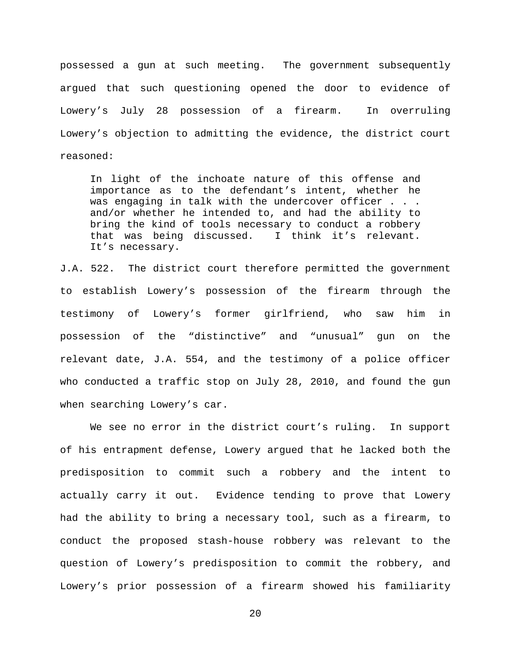possessed a gun at such meeting. The government subsequently argued that such questioning opened the door to evidence of Lowery's July 28 possession of a firearm. In overruling Lowery's objection to admitting the evidence, the district court reasoned:

In light of the inchoate nature of this offense and importance as to the defendant's intent, whether he was engaging in talk with the undercover officer . . . and/or whether he intended to, and had the ability to bring the kind of tools necessary to conduct a robbery that was being discussed. I think it's relevant. It's necessary.

J.A. 522. The district court therefore permitted the government to establish Lowery's possession of the firearm through the testimony of Lowery's former girlfriend, who saw him in possession of the "distinctive" and "unusual" gun on the relevant date, J.A. 554, and the testimony of a police officer who conducted a traffic stop on July 28, 2010, and found the gun when searching Lowery's car.

We see no error in the district court's ruling. In support of his entrapment defense, Lowery argued that he lacked both the predisposition to commit such a robbery and the intent to actually carry it out. Evidence tending to prove that Lowery had the ability to bring a necessary tool, such as a firearm, to conduct the proposed stash-house robbery was relevant to the question of Lowery's predisposition to commit the robbery, and Lowery's prior possession of a firearm showed his familiarity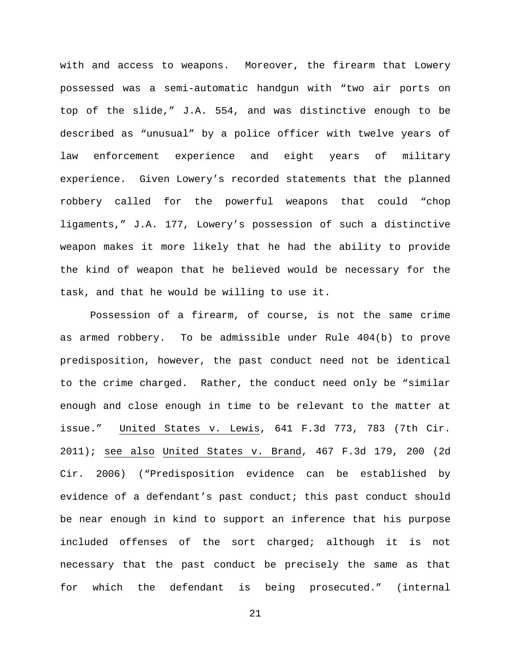with and access to weapons. Moreover, the firearm that Lowery possessed was a semi-automatic handgun with "two air ports on top of the slide," J.A. 554, and was distinctive enough to be described as "unusual" by a police officer with twelve years of law enforcement experience and eight years of military experience. Given Lowery's recorded statements that the planned robbery called for the powerful weapons that could "chop ligaments," J.A. 177, Lowery's possession of such a distinctive weapon makes it more likely that he had the ability to provide the kind of weapon that he believed would be necessary for the task, and that he would be willing to use it.

Possession of a firearm, of course, is not the same crime as armed robbery. To be admissible under Rule 404(b) to prove predisposition, however, the past conduct need not be identical to the crime charged. Rather, the conduct need only be "similar enough and close enough in time to be relevant to the matter at issue." United States v. Lewis, 641 F.3d 773, 783 (7th Cir. 2011); see also United States v. Brand, 467 F.3d 179, 200 (2d Cir. 2006) ("Predisposition evidence can be established by evidence of a defendant's past conduct; this past conduct should be near enough in kind to support an inference that his purpose included offenses of the sort charged; although it is not necessary that the past conduct be precisely the same as that for which the defendant is being prosecuted." (internal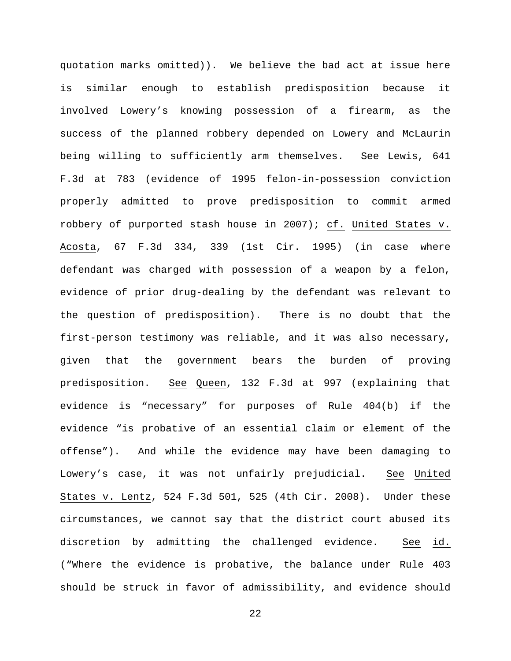quotation marks omitted)). We believe the bad act at issue here is similar enough to establish predisposition because it involved Lowery's knowing possession of a firearm, as the success of the planned robbery depended on Lowery and McLaurin being willing to sufficiently arm themselves. See Lewis, 641 F.3d at 783 (evidence of 1995 felon-in-possession conviction properly admitted to prove predisposition to commit armed robbery of purported stash house in 2007); cf. United States v. Acosta, 67 F.3d 334, 339 (1st Cir. 1995) (in case where defendant was charged with possession of a weapon by a felon, evidence of prior drug-dealing by the defendant was relevant to the question of predisposition). There is no doubt that the first-person testimony was reliable, and it was also necessary, given that the government bears the burden of proving predisposition. See Queen, 132 F.3d at 997 (explaining that evidence is "necessary" for purposes of Rule 404(b) if the evidence "is probative of an essential claim or element of the offense"). And while the evidence may have been damaging to Lowery's case, it was not unfairly prejudicial. See United States v. Lentz, 524 F.3d 501, 525 (4th Cir. 2008). Under these circumstances, we cannot say that the district court abused its discretion by admitting the challenged evidence. See id. ("Where the evidence is probative, the balance under Rule 403 should be struck in favor of admissibility, and evidence should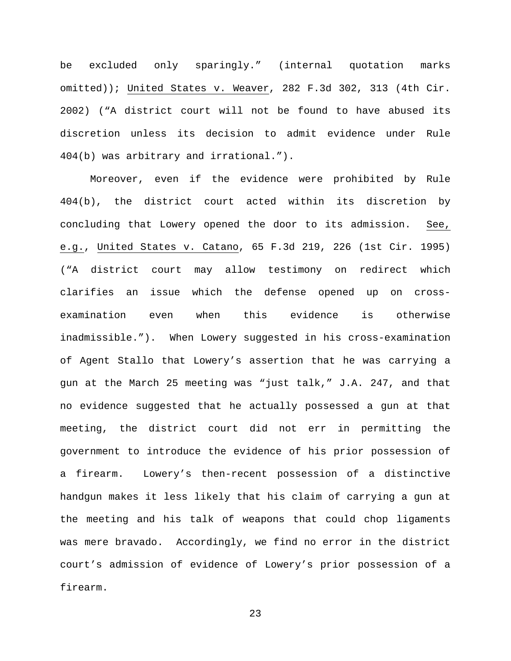be excluded only sparingly." (internal quotation marks omitted)); United States v. Weaver, 282 F.3d 302, 313 (4th Cir. 2002) ("A district court will not be found to have abused its discretion unless its decision to admit evidence under Rule 404(b) was arbitrary and irrational.").

Moreover, even if the evidence were prohibited by Rule 404(b), the district court acted within its discretion by concluding that Lowery opened the door to its admission. See, e.g., United States v. Catano, 65 F.3d 219, 226 (1st Cir. 1995) ("A district court may allow testimony on redirect which clarifies an issue which the defense opened up on crossexamination even when this evidence is otherwise inadmissible."). When Lowery suggested in his cross-examination of Agent Stallo that Lowery's assertion that he was carrying a gun at the March 25 meeting was "just talk," J.A. 247, and that no evidence suggested that he actually possessed a gun at that meeting, the district court did not err in permitting the government to introduce the evidence of his prior possession of a firearm. Lowery's then-recent possession of a distinctive handgun makes it less likely that his claim of carrying a gun at the meeting and his talk of weapons that could chop ligaments was mere bravado. Accordingly, we find no error in the district court's admission of evidence of Lowery's prior possession of a firearm.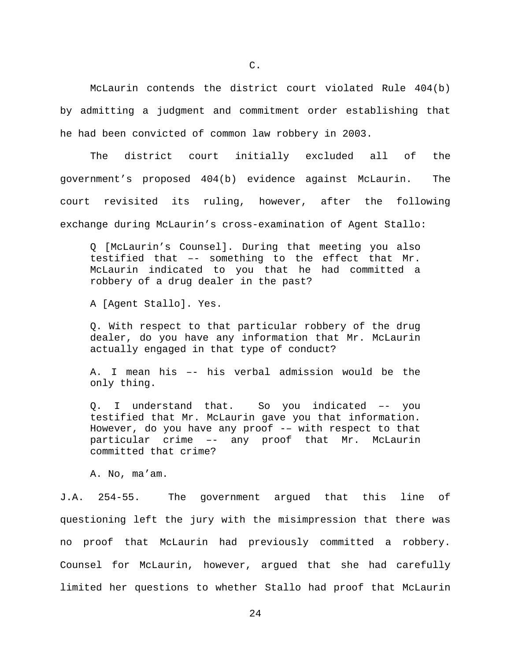McLaurin contends the district court violated Rule 404(b) by admitting a judgment and commitment order establishing that he had been convicted of common law robbery in 2003.

The district court initially excluded all of the government's proposed 404(b) evidence against McLaurin. The court revisited its ruling, however, after the following exchange during McLaurin's cross-examination of Agent Stallo:

Q [McLaurin's Counsel]. During that meeting you also testified that –- something to the effect that Mr. McLaurin indicated to you that he had committed a robbery of a drug dealer in the past?

A [Agent Stallo]. Yes.

Q. With respect to that particular robbery of the drug dealer, do you have any information that Mr. McLaurin actually engaged in that type of conduct?

A. I mean his –- his verbal admission would be the only thing.

Q. I understand that. So you indicated –- you testified that Mr. McLaurin gave you that information. However, do you have any proof -- with respect to that particular crime –- any proof that Mr. McLaurin committed that crime?

A. No, ma'am.

J.A. 254-55. The government argued that this line of questioning left the jury with the misimpression that there was no proof that McLaurin had previously committed a robbery. Counsel for McLaurin, however, argued that she had carefully limited her questions to whether Stallo had proof that McLaurin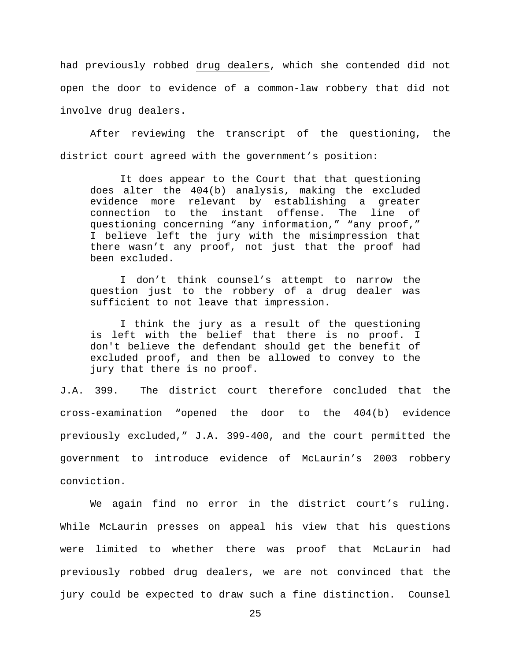had previously robbed drug dealers, which she contended did not open the door to evidence of a common-law robbery that did not involve drug dealers.

After reviewing the transcript of the questioning, the district court agreed with the government's position:

It does appear to the Court that that questioning does alter the 404(b) analysis, making the excluded evidence more relevant by establishing a greater<br>connection to the instant offense. The line of connection to the instant offense. The line of questioning concerning "any information," "any proof," I believe left the jury with the misimpression that there wasn't any proof, not just that the proof had been excluded.

I don't think counsel's attempt to narrow the question just to the robbery of a drug dealer was sufficient to not leave that impression.

I think the jury as a result of the questioning is left with the belief that there is no proof. I don't believe the defendant should get the benefit of excluded proof, and then be allowed to convey to the jury that there is no proof.

J.A. 399. The district court therefore concluded that the cross-examination "opened the door to the 404(b) evidence previously excluded," J.A. 399-400, and the court permitted the government to introduce evidence of McLaurin's 2003 robbery conviction.

We again find no error in the district court's ruling. While McLaurin presses on appeal his view that his questions were limited to whether there was proof that McLaurin had previously robbed drug dealers, we are not convinced that the jury could be expected to draw such a fine distinction. Counsel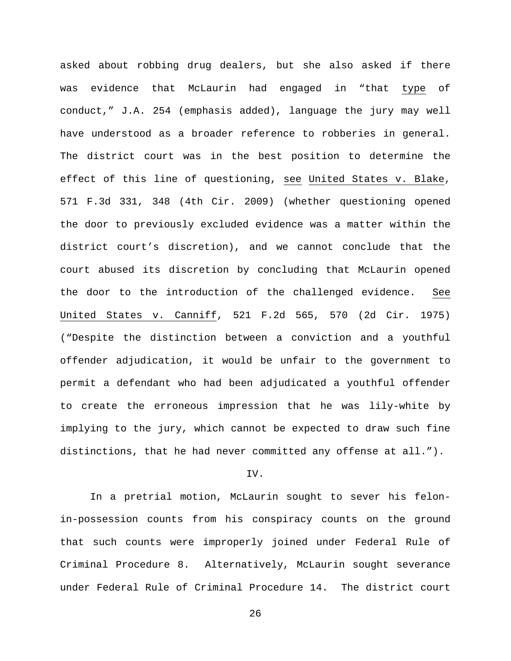asked about robbing drug dealers, but she also asked if there was evidence that McLaurin had engaged in "that type of conduct," J.A. 254 (emphasis added), language the jury may well have understood as a broader reference to robberies in general. The district court was in the best position to determine the effect of this line of questioning, see United States v. Blake, 571 F.3d 331, 348 (4th Cir. 2009) (whether questioning opened the door to previously excluded evidence was a matter within the district court's discretion), and we cannot conclude that the court abused its discretion by concluding that McLaurin opened the door to the introduction of the challenged evidence. See United States v. Canniff, 521 F.2d 565, 570 (2d Cir. 1975) ("Despite the distinction between a conviction and a youthful offender adjudication, it would be unfair to the government to permit a defendant who had been adjudicated a youthful offender to create the erroneous impression that he was lily-white by implying to the jury, which cannot be expected to draw such fine distinctions, that he had never committed any offense at all.").

### IV.

In a pretrial motion, McLaurin sought to sever his felonin-possession counts from his conspiracy counts on the ground that such counts were improperly joined under Federal Rule of Criminal Procedure 8. Alternatively, McLaurin sought severance under Federal Rule of Criminal Procedure 14. The district court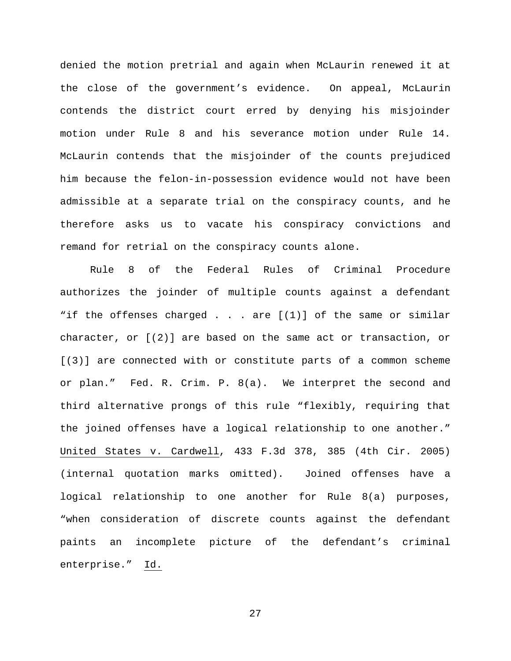denied the motion pretrial and again when McLaurin renewed it at the close of the government's evidence. On appeal, McLaurin contends the district court erred by denying his misjoinder motion under Rule 8 and his severance motion under Rule 14. McLaurin contends that the misjoinder of the counts prejudiced him because the felon-in-possession evidence would not have been admissible at a separate trial on the conspiracy counts, and he therefore asks us to vacate his conspiracy convictions and remand for retrial on the conspiracy counts alone.

Rule 8 of the Federal Rules of Criminal Procedure authorizes the joinder of multiple counts against a defendant "if the offenses charged  $\ldots$  are  $[(1)]$  of the same or similar character, or [(2)] are based on the same act or transaction, or [(3)] are connected with or constitute parts of a common scheme or plan." Fed. R. Crim. P. 8(a). We interpret the second and third alternative prongs of this rule "flexibly, requiring that the joined offenses have a logical relationship to one another." United States v. Cardwell, 433 F.3d 378, 385 (4th Cir. 2005) (internal quotation marks omitted). Joined offenses have a logical relationship to one another for Rule 8(a) purposes, "when consideration of discrete counts against the defendant paints an incomplete picture of the defendant's criminal enterprise." Id.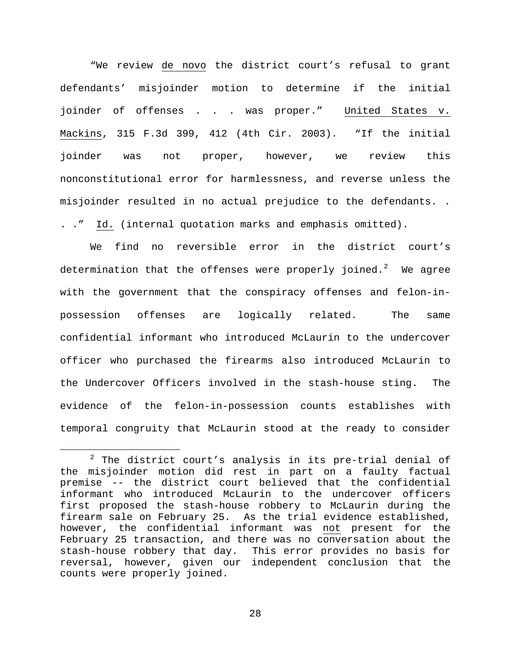"We review de novo the district court's refusal to grant defendants' misjoinder motion to determine if the initial joinder of offenses . . . was proper." United States v. Mackins, 315 F.3d 399, 412 (4th Cir. 2003). "If the initial joinder was not proper, however, we review this nonconstitutional error for harmlessness, and reverse unless the misjoinder resulted in no actual prejudice to the defendants. . . ." Id. (internal quotation marks and emphasis omitted).

We find no reversible error in the district court's determination that the offenses were properly joined. $^2$  $^2$  We agree with the government that the conspiracy offenses and felon-inpossession offenses are logically related. The same confidential informant who introduced McLaurin to the undercover officer who purchased the firearms also introduced McLaurin to the Undercover Officers involved in the stash-house sting. The evidence of the felon-in-possession counts establishes with temporal congruity that McLaurin stood at the ready to consider

<span id="page-27-0"></span> $2$  The district court's analysis in its pre-trial denial of the misjoinder motion did rest in part on a faulty factual premise -- the district court believed that the confidential informant who introduced McLaurin to the undercover officers first proposed the stash-house robbery to McLaurin during the firearm sale on February 25. As the trial evidence established, however, the confidential informant was not present for the February 25 transaction, and there was no conversation about the stash-house robbery that day. This error provides no basis for reversal, however, given our independent conclusion that the counts were properly joined.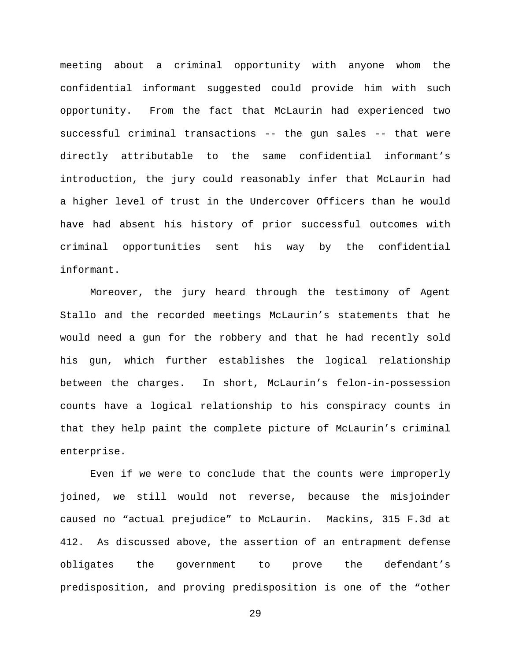meeting about a criminal opportunity with anyone whom the confidential informant suggested could provide him with such opportunity. From the fact that McLaurin had experienced two successful criminal transactions -- the gun sales -- that were directly attributable to the same confidential informant's introduction, the jury could reasonably infer that McLaurin had a higher level of trust in the Undercover Officers than he would have had absent his history of prior successful outcomes with criminal opportunities sent his way by the confidential informant.

Moreover, the jury heard through the testimony of Agent Stallo and the recorded meetings McLaurin's statements that he would need a gun for the robbery and that he had recently sold his gun, which further establishes the logical relationship between the charges. In short, McLaurin's felon-in-possession counts have a logical relationship to his conspiracy counts in that they help paint the complete picture of McLaurin's criminal enterprise.

Even if we were to conclude that the counts were improperly joined, we still would not reverse, because the misjoinder caused no "actual prejudice" to McLaurin. Mackins, 315 F.3d at 412. As discussed above, the assertion of an entrapment defense obligates the government to prove the defendant's predisposition, and proving predisposition is one of the "other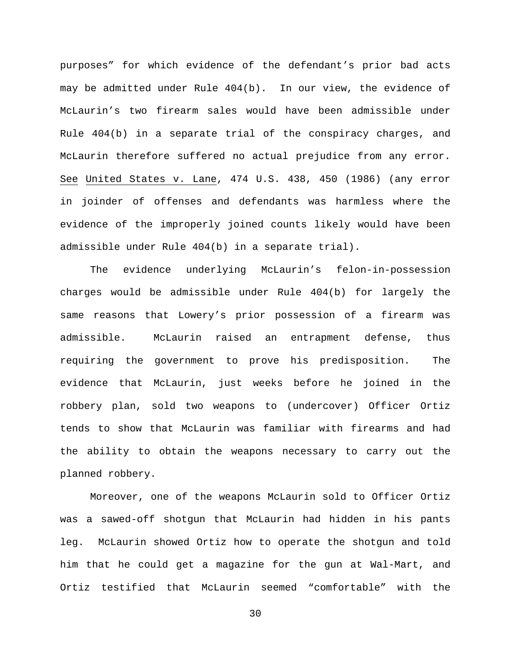purposes" for which evidence of the defendant's prior bad acts may be admitted under Rule 404(b). In our view, the evidence of McLaurin's two firearm sales would have been admissible under Rule 404(b) in a separate trial of the conspiracy charges, and McLaurin therefore suffered no actual prejudice from any error. See United States v. Lane, 474 U.S. 438, 450 (1986) (any error in joinder of offenses and defendants was harmless where the evidence of the improperly joined counts likely would have been admissible under Rule 404(b) in a separate trial).

The evidence underlying McLaurin's felon-in-possession charges would be admissible under Rule 404(b) for largely the same reasons that Lowery's prior possession of a firearm was admissible. McLaurin raised an entrapment defense, thus requiring the government to prove his predisposition. The evidence that McLaurin, just weeks before he joined in the robbery plan, sold two weapons to (undercover) Officer Ortiz tends to show that McLaurin was familiar with firearms and had the ability to obtain the weapons necessary to carry out the planned robbery.

Moreover, one of the weapons McLaurin sold to Officer Ortiz was a sawed-off shotgun that McLaurin had hidden in his pants leg. McLaurin showed Ortiz how to operate the shotgun and told him that he could get a magazine for the gun at Wal-Mart, and Ortiz testified that McLaurin seemed "comfortable" with the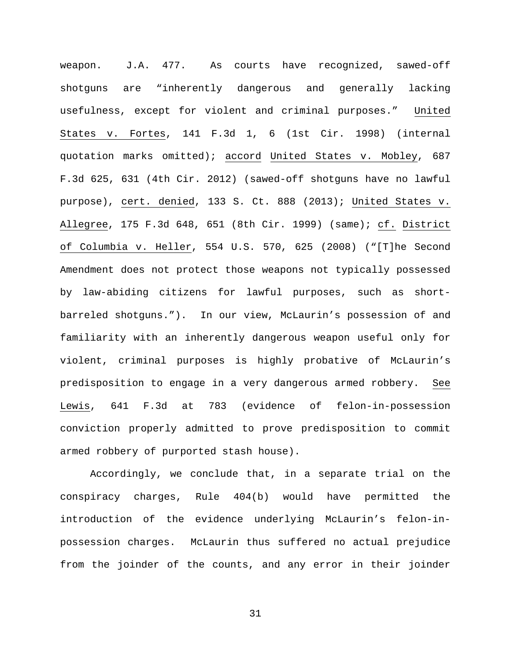weapon. J.A. 477. As courts have recognized, sawed-off shotguns are "inherently dangerous and generally lacking usefulness, except for violent and criminal purposes." United States v. Fortes, 141 F.3d 1, 6 (1st Cir. 1998) (internal quotation marks omitted); accord United States v. Mobley, 687 F.3d 625, 631 (4th Cir. 2012) (sawed-off shotguns have no lawful purpose), cert. denied, 133 S. Ct. 888 (2013); United States v. Allegree, 175 F.3d 648, 651 (8th Cir. 1999) (same); cf. District of Columbia v. Heller, 554 U.S. 570, 625 (2008) ("[T]he Second Amendment does not protect those weapons not typically possessed by law-abiding citizens for lawful purposes, such as shortbarreled shotguns."). In our view, McLaurin's possession of and familiarity with an inherently dangerous weapon useful only for violent, criminal purposes is highly probative of McLaurin's predisposition to engage in a very dangerous armed robbery. See Lewis, 641 F.3d at 783 (evidence of felon-in-possession conviction properly admitted to prove predisposition to commit armed robbery of purported stash house).

Accordingly, we conclude that, in a separate trial on the conspiracy charges, Rule 404(b) would have permitted the introduction of the evidence underlying McLaurin's felon-inpossession charges. McLaurin thus suffered no actual prejudice from the joinder of the counts, and any error in their joinder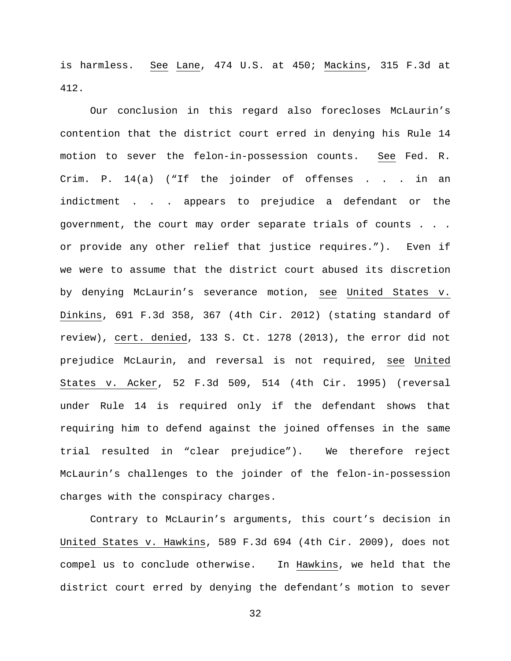is harmless. See Lane, 474 U.S. at 450; Mackins, 315 F.3d at 412.

Our conclusion in this regard also forecloses McLaurin's contention that the district court erred in denying his Rule 14 motion to sever the felon-in-possession counts. See Fed. R. Crim. P. 14(a) ("If the joinder of offenses . . . in an indictment . . . appears to prejudice a defendant or the government, the court may order separate trials of counts . . . or provide any other relief that justice requires."). Even if we were to assume that the district court abused its discretion by denying McLaurin's severance motion, see United States v. Dinkins, 691 F.3d 358, 367 (4th Cir. 2012) (stating standard of review), cert. denied, 133 S. Ct. 1278 (2013), the error did not prejudice McLaurin, and reversal is not required, see United States v. Acker, 52 F.3d 509, 514 (4th Cir. 1995) (reversal under Rule 14 is required only if the defendant shows that requiring him to defend against the joined offenses in the same trial resulted in "clear prejudice"). We therefore reject McLaurin's challenges to the joinder of the felon-in-possession charges with the conspiracy charges.

Contrary to McLaurin's arguments, this court's decision in United States v. Hawkins, 589 F.3d 694 (4th Cir. 2009), does not compel us to conclude otherwise. In Hawkins, we held that the district court erred by denying the defendant's motion to sever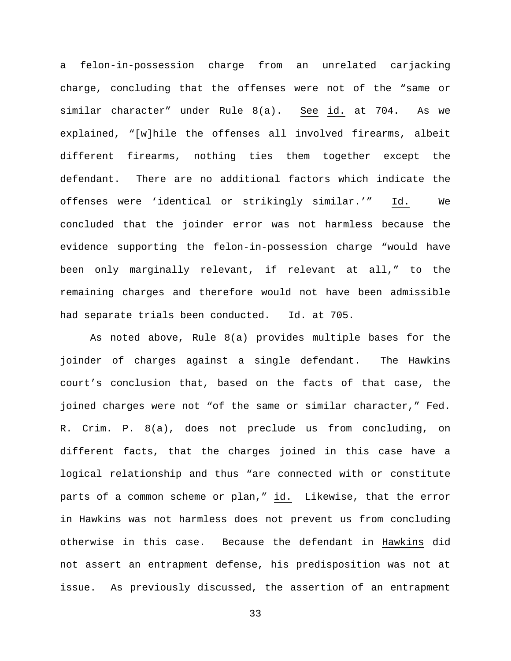a felon-in-possession charge from an unrelated carjacking charge, concluding that the offenses were not of the "same or similar character" under Rule 8(a). See id. at 704. As we explained, "[w]hile the offenses all involved firearms, albeit different firearms, nothing ties them together except the defendant. There are no additional factors which indicate the offenses were 'identical or strikingly similar.'" Id. We concluded that the joinder error was not harmless because the evidence supporting the felon-in-possession charge "would have been only marginally relevant, if relevant at all," to the remaining charges and therefore would not have been admissible had separate trials been conducted. Id. at 705.

As noted above, Rule 8(a) provides multiple bases for the joinder of charges against a single defendant. The Hawkins court's conclusion that, based on the facts of that case, the joined charges were not "of the same or similar character," Fed. R. Crim. P. 8(a), does not preclude us from concluding, on different facts, that the charges joined in this case have a logical relationship and thus "are connected with or constitute parts of a common scheme or plan," id. Likewise, that the error in Hawkins was not harmless does not prevent us from concluding otherwise in this case. Because the defendant in Hawkins did not assert an entrapment defense, his predisposition was not at issue. As previously discussed, the assertion of an entrapment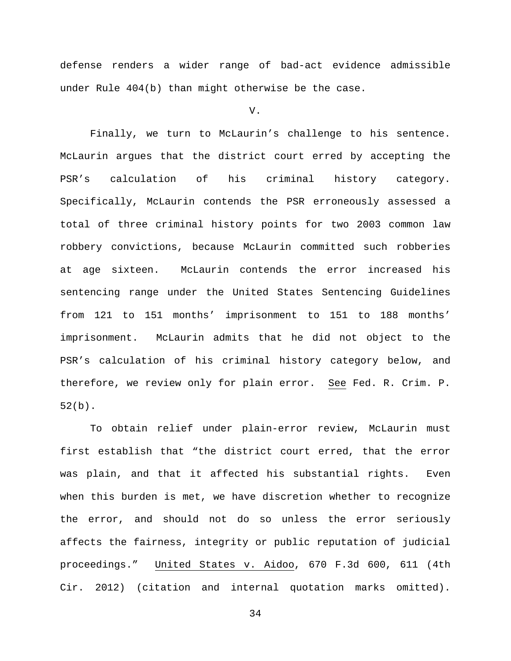defense renders a wider range of bad-act evidence admissible under Rule 404(b) than might otherwise be the case.

V.

Finally, we turn to McLaurin's challenge to his sentence. McLaurin argues that the district court erred by accepting the PSR's calculation of his criminal history category. Specifically, McLaurin contends the PSR erroneously assessed a total of three criminal history points for two 2003 common law robbery convictions, because McLaurin committed such robberies at age sixteen. McLaurin contends the error increased his sentencing range under the United States Sentencing Guidelines from 121 to 151 months' imprisonment to 151 to 188 months' imprisonment. McLaurin admits that he did not object to the PSR's calculation of his criminal history category below, and therefore, we review only for plain error. See Fed. R. Crim. P. 52(b).

To obtain relief under plain-error review, McLaurin must first establish that "the district court erred, that the error was plain, and that it affected his substantial rights. Even when this burden is met, we have discretion whether to recognize the error, and should not do so unless the error seriously affects the fairness, integrity or public reputation of judicial proceedings." United States v. Aidoo, 670 F.3d 600, 611 (4th Cir. 2012) (citation and internal quotation marks omitted).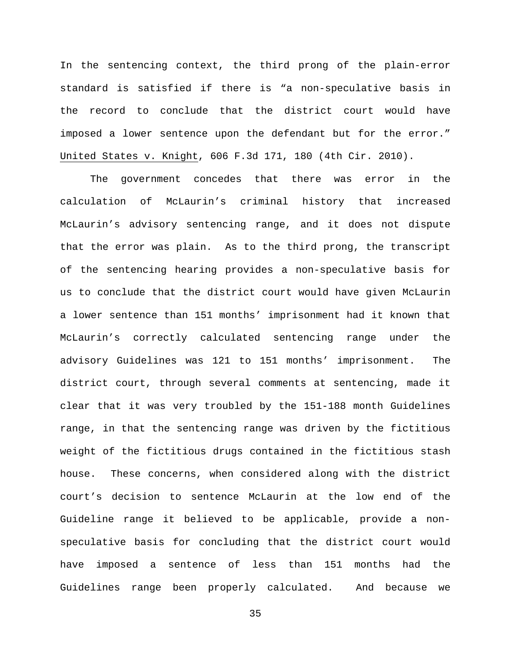In the sentencing context, the third prong of the plain-error standard is satisfied if there is "a non-speculative basis in the record to conclude that the district court would have imposed a lower sentence upon the defendant but for the error." [United States v. Knight, 606 F.3d 171, 180 \(4th Cir.](https://web2.westlaw.com/find/default.wl?mt=205&db=506&tc=-1&rp=%2ffind%2fdefault.wl&findtype=Y&ordoc=2031711924&serialnum=2022237207&vr=2.0&fn=_top&sv=Full&tf=-1&referencepositiontype=S&pbc=745F70B7&referenceposition=178&rs=WLW14.01) 2010).

The government concedes that there was error in the calculation of McLaurin's criminal history that increased McLaurin's advisory sentencing range, and it does not dispute that the error was plain. As to the third prong, the transcript of the sentencing hearing provides a non-speculative basis for us to conclude that the district court would have given McLaurin a lower sentence than 151 months' imprisonment had it known that McLaurin's correctly calculated sentencing range under the advisory Guidelines was 121 to 151 months' imprisonment. The district court, through several comments at sentencing, made it clear that it was very troubled by the 151-188 month Guidelines range, in that the sentencing range was driven by the fictitious weight of the fictitious drugs contained in the fictitious stash house. These concerns, when considered along with the district court's decision to sentence McLaurin at the low end of the Guideline range it believed to be applicable, provide a nonspeculative basis for concluding that the district court would have imposed a sentence of less than 151 months had the Guidelines range been properly calculated. And because we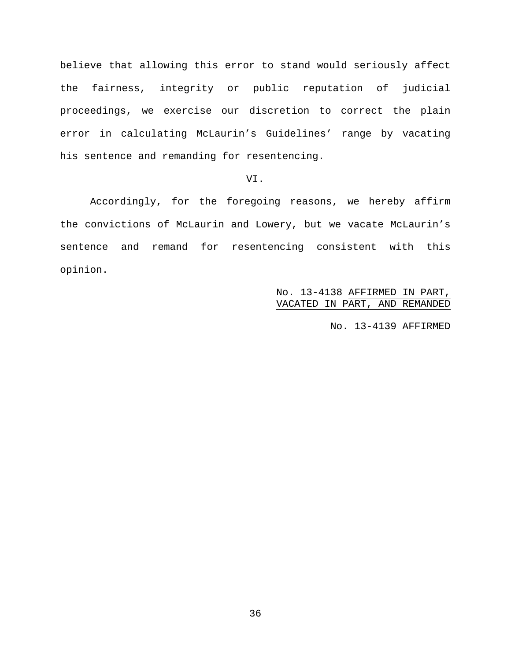believe that allowing this error to stand would seriously affect the fairness, integrity or public reputation of judicial proceedings, we exercise our discretion to correct the plain error in calculating McLaurin's Guidelines' range by vacating his sentence and remanding for resentencing.

# VI.

Accordingly, for the foregoing reasons, we hereby affirm the convictions of McLaurin and Lowery, but we vacate McLaurin's sentence and remand for resentencing consistent with this opinion.

> No. 13-4138 AFFIRMED IN PART, VACATED IN PART, AND REMANDED

> > No. 13-4139 AFFIRMED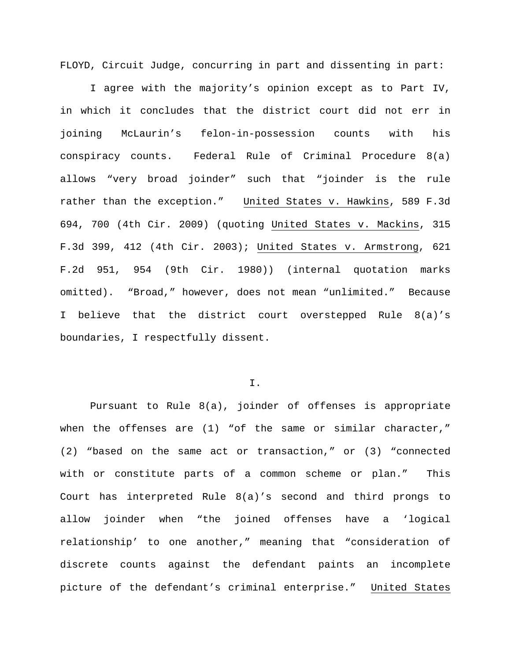FLOYD, Circuit Judge, concurring in part and dissenting in part:

I agree with the majority's opinion except as to Part IV, in which it concludes that the district court did not err in joining McLaurin's felon-in-possession counts with his conspiracy counts. Federal Rule of Criminal Procedure 8(a) allows "very broad joinder" such that "joinder is the rule rather than the exception." United States v. Hawkins, 589 F.3d 694, 700 (4th Cir. 2009) (quoting United States v. Mackins, 315 F.3d 399, 412 (4th Cir. 2003); United States v. Armstrong, 621 F.2d 951, 954 (9th Cir. 1980)) (internal quotation marks omitted). "Broad," however, does not mean "unlimited." Because I believe that the district court overstepped Rule 8(a)'s boundaries, I respectfully dissent.

#### I.

Pursuant to Rule 8(a), joinder of offenses is appropriate when the offenses are  $(1)$  "of the same or similar character," (2) "based on the same act or transaction," or (3) "connected with or constitute parts of a common scheme or plan." This Court has interpreted Rule 8(a)'s second and third prongs to allow joinder when "the joined offenses have a 'logical relationship' to one another," meaning that "consideration of discrete counts against the defendant paints an incomplete picture of the defendant's criminal enterprise." United States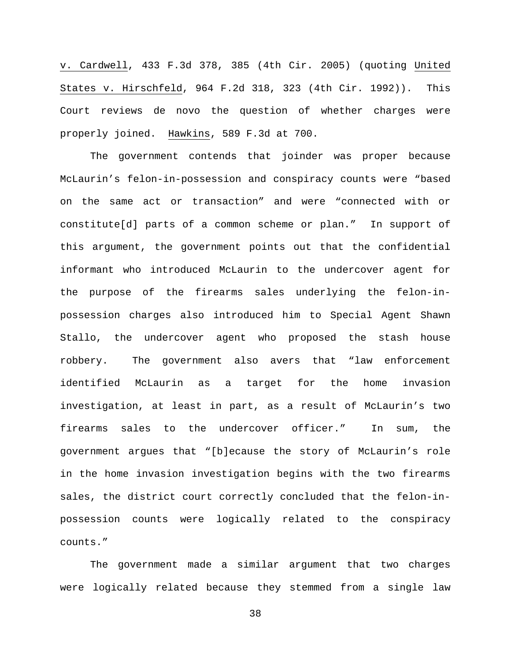v. Cardwell, 433 F.3d 378, 385 (4th Cir. 2005) (quoting United States v. Hirschfeld, 964 F.2d 318, 323 (4th Cir. 1992)). This Court reviews de novo the question of whether charges were properly joined. Hawkins, 589 F.3d at 700.

The government contends that joinder was proper because McLaurin's felon-in-possession and conspiracy counts were "based on the same act or transaction" and were "connected with or constitute[d] parts of a common scheme or plan." In support of this argument, the government points out that the confidential informant who introduced McLaurin to the undercover agent for the purpose of the firearms sales underlying the felon-inpossession charges also introduced him to Special Agent Shawn Stallo, the undercover agent who proposed the stash house robbery. The government also avers that "law enforcement identified McLaurin as a target for the home invasion investigation, at least in part, as a result of McLaurin's two firearms sales to the undercover officer." In sum, the government argues that "[b]ecause the story of McLaurin's role in the home invasion investigation begins with the two firearms sales, the district court correctly concluded that the felon-inpossession counts were logically related to the conspiracy counts."

The government made a similar argument that two charges were logically related because they stemmed from a single law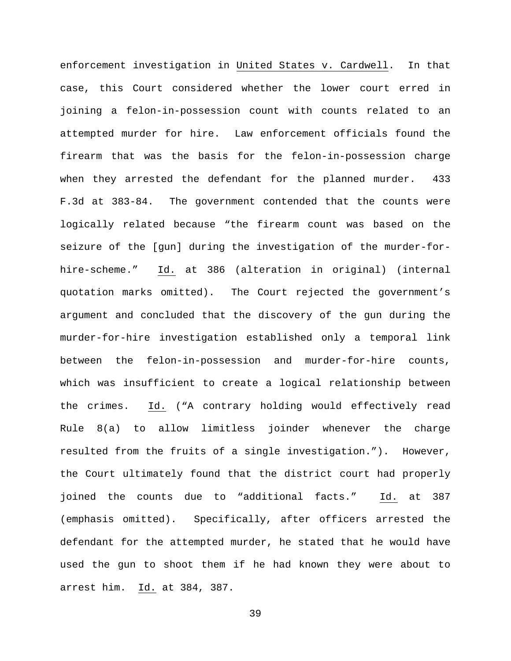enforcement investigation in United States v. Cardwell. In that case, this Court considered whether the lower court erred in joining a felon-in-possession count with counts related to an attempted murder for hire. Law enforcement officials found the firearm that was the basis for the felon-in-possession charge when they arrested the defendant for the planned murder. 433 F.3d at 383-84. The government contended that the counts were logically related because "the firearm count was based on the seizure of the [gun] during the investigation of the murder-forhire-scheme." Id. at 386 (alteration in original) (internal quotation marks omitted). The Court rejected the government's argument and concluded that the discovery of the gun during the murder-for-hire investigation established only a temporal link between the felon-in-possession and murder-for-hire counts, which was insufficient to create a logical relationship between the crimes. Id. ("A contrary holding would effectively read Rule 8(a) to allow limitless joinder whenever the charge resulted from the fruits of a single investigation."). However, the Court ultimately found that the district court had properly joined the counts due to "additional facts." Id. at 387 (emphasis omitted). Specifically, after officers arrested the defendant for the attempted murder, he stated that he would have used the gun to shoot them if he had known they were about to arrest him. Id. at 384, 387.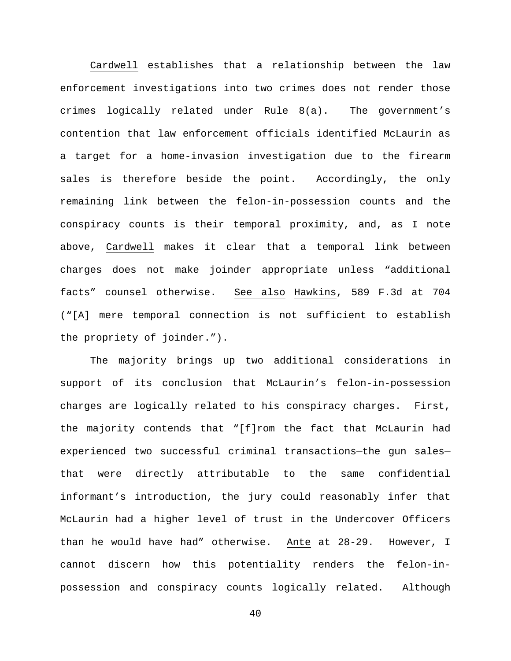Cardwell establishes that a relationship between the law enforcement investigations into two crimes does not render those crimes logically related under Rule 8(a). The government's contention that law enforcement officials identified McLaurin as a target for a home-invasion investigation due to the firearm sales is therefore beside the point. Accordingly, the only remaining link between the felon-in-possession counts and the conspiracy counts is their temporal proximity, and, as I note above, Cardwell makes it clear that a temporal link between charges does not make joinder appropriate unless "additional facts" counsel otherwise. See also Hawkins, 589 F.3d at 704 ("[A] mere temporal connection is not sufficient to establish the propriety of joinder.").

The majority brings up two additional considerations in support of its conclusion that McLaurin's felon-in-possession charges are logically related to his conspiracy charges. First, the majority contends that "[f]rom the fact that McLaurin had experienced two successful criminal transactions—the gun sales that were directly attributable to the same confidential informant's introduction, the jury could reasonably infer that McLaurin had a higher level of trust in the Undercover Officers than he would have had" otherwise. Ante at 28-29. However, I cannot discern how this potentiality renders the felon-inpossession and conspiracy counts logically related. Although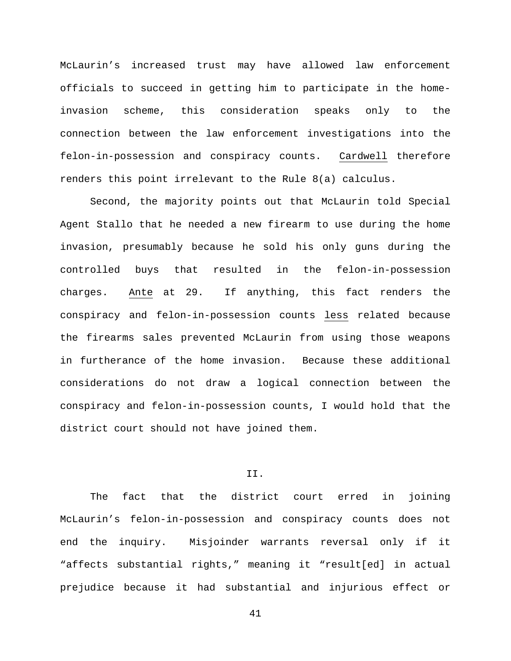McLaurin's increased trust may have allowed law enforcement officials to succeed in getting him to participate in the homeinvasion scheme, this consideration speaks only to the connection between the law enforcement investigations into the felon-in-possession and conspiracy counts. Cardwell therefore renders this point irrelevant to the Rule 8(a) calculus.

Second, the majority points out that McLaurin told Special Agent Stallo that he needed a new firearm to use during the home invasion, presumably because he sold his only guns during the controlled buys that resulted in the felon-in-possession charges. Ante at 29. If anything, this fact renders the conspiracy and felon-in-possession counts less related because the firearms sales prevented McLaurin from using those weapons in furtherance of the home invasion. Because these additional considerations do not draw a logical connection between the conspiracy and felon-in-possession counts, I would hold that the district court should not have joined them.

### II.

The fact that the district court erred in joining McLaurin's felon-in-possession and conspiracy counts does not end the inquiry. Misjoinder warrants reversal only if it "affects substantial rights," meaning it "result[ed] in actual prejudice because it had substantial and injurious effect or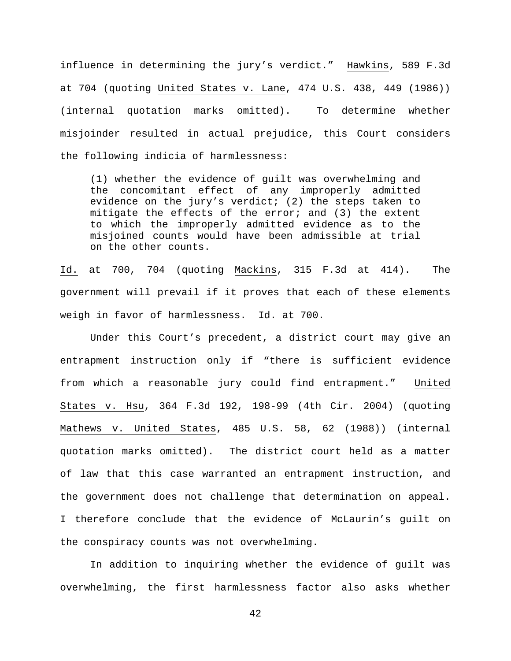influence in determining the jury's verdict." Hawkins, 589 F.3d at 704 (quoting United States v. Lane, 474 U.S. 438, 449 (1986)) (internal quotation marks omitted). To determine whether misjoinder resulted in actual prejudice, this Court considers the following indicia of harmlessness:

(1) whether the evidence of guilt was overwhelming and the concomitant effect of any improperly admitted evidence on the jury's verdict; (2) the steps taken to mitigate the effects of the error; and (3) the extent to which the improperly admitted evidence as to the misjoined counts would have been admissible at trial on the other counts.

Id. at 700, 704 (quoting Mackins, 315 F.3d at 414). The government will prevail if it proves that each of these elements weigh in favor of harmlessness. Id. at 700.

Under this Court's precedent, a district court may give an entrapment instruction only if "there is sufficient evidence from which a reasonable jury could find entrapment." United States v. Hsu, 364 F.3d 192, 198-99 (4th Cir. 2004) (quoting Mathews v. United States, 485 U.S. 58, 62 (1988)) (internal quotation marks omitted). The district court held as a matter of law that this case warranted an entrapment instruction, and the government does not challenge that determination on appeal. I therefore conclude that the evidence of McLaurin's guilt on the conspiracy counts was not overwhelming.

In addition to inquiring whether the evidence of guilt was overwhelming, the first harmlessness factor also asks whether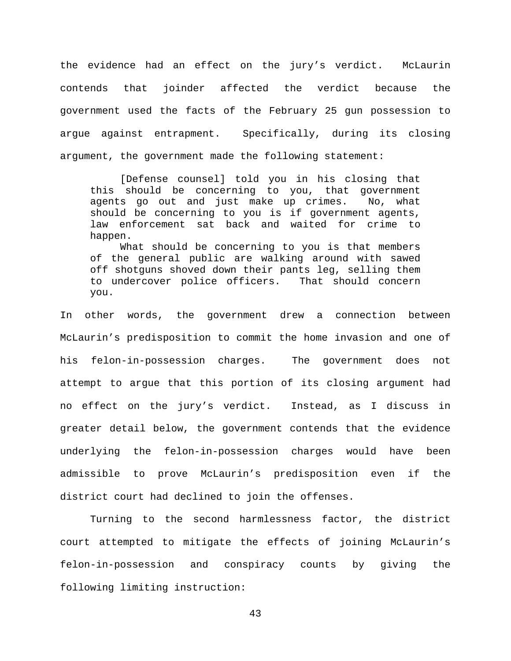the evidence had an effect on the jury's verdict. McLaurin contends that joinder affected the verdict because the government used the facts of the February 25 gun possession to argue against entrapment. Specifically, during its closing argument, the government made the following statement:

[Defense counsel] told you in his closing that this should be concerning to you, that government<br>agents go out and just make up crimes. No, what agents go out and just make up crimes. should be concerning to you is if government agents, law enforcement sat back and waited for crime to happen.

What should be concerning to you is that members of the general public are walking around with sawed off shotguns shoved down their pants leg, selling them<br>to undercover police officers. That should concern to undercover police officers. you.

In other words, the government drew a connection between McLaurin's predisposition to commit the home invasion and one of his felon-in-possession charges. The government does not attempt to argue that this portion of its closing argument had no effect on the jury's verdict. Instead, as I discuss in greater detail below, the government contends that the evidence underlying the felon-in-possession charges would have been admissible to prove McLaurin's predisposition even if the district court had declined to join the offenses.

Turning to the second harmlessness factor, the district court attempted to mitigate the effects of joining McLaurin's felon-in-possession and conspiracy counts by giving the following limiting instruction: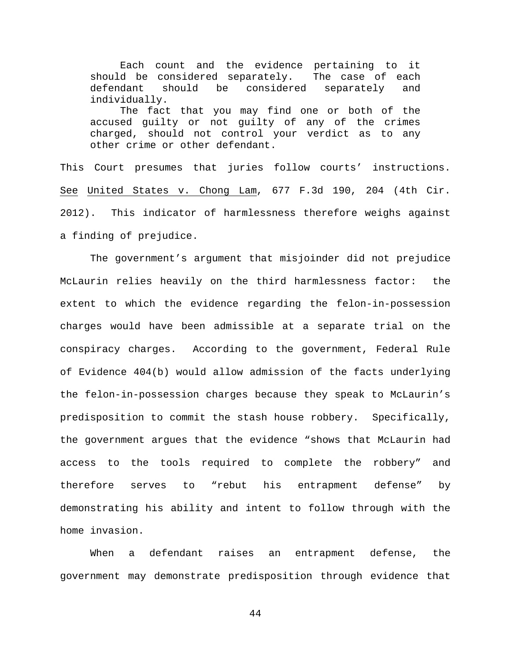Each count and the evidence pertaining to it should be considered separately. The case of each<br>defendant should be considered separately and considered separately and individually. The fact that you may find one or both of the accused guilty or not guilty of any of the crimes charged, should not control your verdict as to any other crime or other defendant.

This Court presumes that juries follow courts' instructions. See United States v. Chong Lam, 677 F.3d 190, 204 (4th Cir. 2012). This indicator of harmlessness therefore weighs against a finding of prejudice.

The government's argument that misjoinder did not prejudice McLaurin relies heavily on the third harmlessness factor: the extent to which the evidence regarding the felon-in-possession charges would have been admissible at a separate trial on the conspiracy charges. According to the government, Federal Rule of Evidence 404(b) would allow admission of the facts underlying the felon-in-possession charges because they speak to McLaurin's predisposition to commit the stash house robbery. Specifically, the government argues that the evidence "shows that McLaurin had access to the tools required to complete the robbery" and therefore serves to "rebut his entrapment defense" by demonstrating his ability and intent to follow through with the home invasion.

When a defendant raises an entrapment defense, the government may demonstrate predisposition through evidence that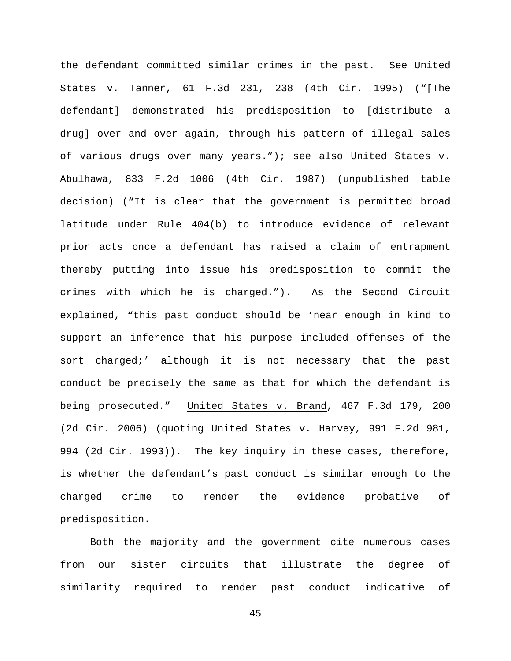the defendant committed similar crimes in the past. See United States v. Tanner, 61 F.3d 231, 238 (4th Cir. 1995) ("[The defendant] demonstrated his predisposition to [distribute a drug] over and over again, through his pattern of illegal sales of various drugs over many years."); see also United States v. Abulhawa, 833 F.2d 1006 (4th Cir. 1987) (unpublished table decision) ("It is clear that the government is permitted broad latitude under Rule 404(b) to introduce evidence of relevant prior acts once a defendant has raised a claim of entrapment thereby putting into issue his predisposition to commit the crimes with which he is charged."). As the Second Circuit explained, "this past conduct should be 'near enough in kind to support an inference that his purpose included offenses of the sort charged;' although it is not necessary that the past conduct be precisely the same as that for which the defendant is being prosecuted." United States v. Brand, 467 F.3d 179, 200 (2d Cir. 2006) (quoting United States v. Harvey, 991 F.2d 981, 994 (2d Cir. 1993)). The key inquiry in these cases, therefore, is whether the defendant's past conduct is similar enough to the charged crime to render the evidence probative of predisposition.

Both the majority and the government cite numerous cases from our sister circuits that illustrate the degree of similarity required to render past conduct indicative of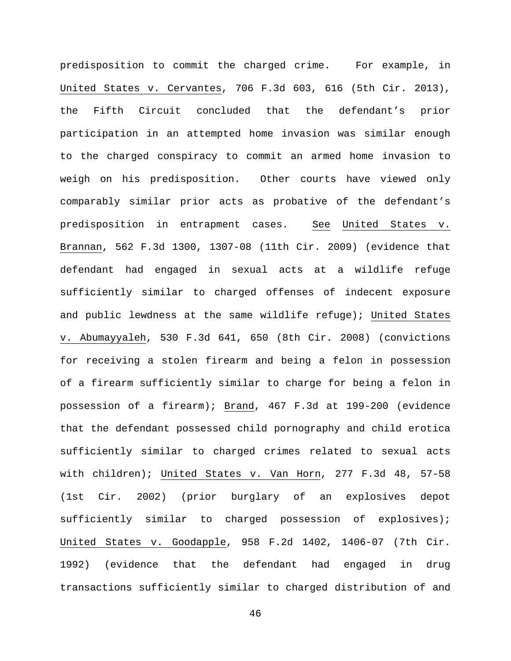predisposition to commit the charged crime. For example, in United States v. Cervantes, 706 F.3d 603, 616 (5th Cir. 2013), the Fifth Circuit concluded that the defendant's prior participation in an attempted home invasion was similar enough to the charged conspiracy to commit an armed home invasion to weigh on his predisposition. Other courts have viewed only comparably similar prior acts as probative of the defendant's predisposition in entrapment cases. See United States v. Brannan, 562 F.3d 1300, 1307-08 (11th Cir. 2009) (evidence that defendant had engaged in sexual acts at a wildlife refuge sufficiently similar to charged offenses of indecent exposure and public lewdness at the same wildlife refuge); United States v. Abumayyaleh, 530 F.3d 641, 650 (8th Cir. 2008) (convictions for receiving a stolen firearm and being a felon in possession of a firearm sufficiently similar to charge for being a felon in possession of a firearm); Brand, 467 F.3d at 199-200 (evidence that the defendant possessed child pornography and child erotica sufficiently similar to charged crimes related to sexual acts with children); United States v. Van Horn, 277 F.3d 48, 57-58 (1st Cir. 2002) (prior burglary of an explosives depot sufficiently similar to charged possession of explosives); United States v. Goodapple, 958 F.2d 1402, 1406-07 (7th Cir. 1992) (evidence that the defendant had engaged in drug transactions sufficiently similar to charged distribution of and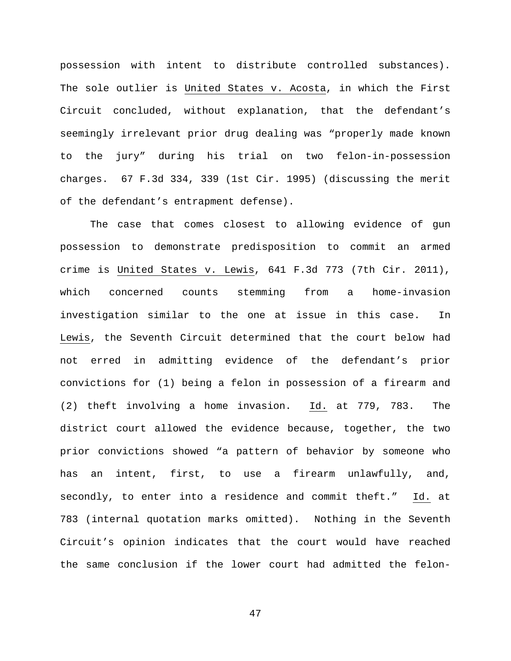possession with intent to distribute controlled substances). The sole outlier is United States v. Acosta, in which the First Circuit concluded, without explanation, that the defendant's seemingly irrelevant prior drug dealing was "properly made known to the jury" during his trial on two felon-in-possession charges. 67 F.3d 334, 339 (1st Cir. 1995) (discussing the merit of the defendant's entrapment defense).

The case that comes closest to allowing evidence of gun possession to demonstrate predisposition to commit an armed crime is United States v. Lewis, 641 F.3d 773 (7th Cir. 2011), which concerned counts stemming from a home-invasion investigation similar to the one at issue in this case. In Lewis, the Seventh Circuit determined that the court below had not erred in admitting evidence of the defendant's prior convictions for (1) being a felon in possession of a firearm and (2) theft involving a home invasion. Id. at 779, 783. The district court allowed the evidence because, together, the two prior convictions showed "a pattern of behavior by someone who has an intent, first, to use a firearm unlawfully, and, secondly, to enter into a residence and commit theft." Id. at 783 (internal quotation marks omitted). Nothing in the Seventh Circuit's opinion indicates that the court would have reached the same conclusion if the lower court had admitted the felon-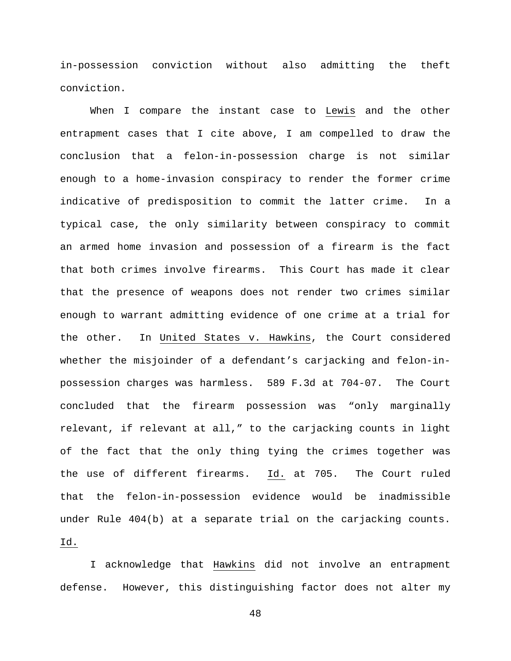in-possession conviction without also admitting the theft conviction.

When I compare the instant case to Lewis and the other entrapment cases that I cite above, I am compelled to draw the conclusion that a felon-in-possession charge is not similar enough to a home-invasion conspiracy to render the former crime indicative of predisposition to commit the latter crime. In a typical case, the only similarity between conspiracy to commit an armed home invasion and possession of a firearm is the fact that both crimes involve firearms. This Court has made it clear that the presence of weapons does not render two crimes similar enough to warrant admitting evidence of one crime at a trial for the other. In United States v. Hawkins, the Court considered whether the misjoinder of a defendant's carjacking and felon-inpossession charges was harmless. 589 F.3d at 704-07. The Court concluded that the firearm possession was "only marginally relevant, if relevant at all," to the carjacking counts in light of the fact that the only thing tying the crimes together was the use of different firearms. Id. at 705. The Court ruled that the felon-in-possession evidence would be inadmissible under Rule 404(b) at a separate trial on the carjacking counts. Id.

I acknowledge that Hawkins did not involve an entrapment defense. However, this distinguishing factor does not alter my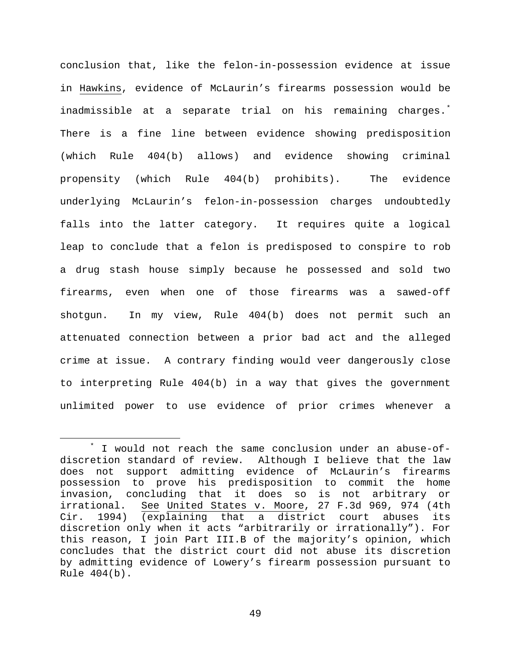conclusion that, like the felon-in-possession evidence at issue in Hawkins, evidence of McLaurin's firearms possession would be inadmissible at a separate trial on his remaining charges.[\\*](#page-48-0) There is a fine line between evidence showing predisposition (which Rule 404(b) allows) and evidence showing criminal propensity (which Rule 404(b) prohibits). The evidence underlying McLaurin's felon-in-possession charges undoubtedly falls into the latter category. It requires quite a logical leap to conclude that a felon is predisposed to conspire to rob a drug stash house simply because he possessed and sold two firearms, even when one of those firearms was a sawed-off shotgun. In my view, Rule 404(b) does not permit such an attenuated connection between a prior bad act and the alleged crime at issue. A contrary finding would veer dangerously close to interpreting Rule 404(b) in a way that gives the government unlimited power to use evidence of prior crimes whenever a

<span id="page-48-0"></span>I would not reach the same conclusion under an abuse-ofdiscretion standard of review. Although I believe that the law does not support admitting evidence of McLaurin's firearms possession to prove his predisposition to commit the home invasion, concluding that it does so is not arbitrary or See United States v. Moore, 27 F.3d 969, 974 (4th Cir. 1994) (explaining that a district court abuses its discretion only when it acts "arbitrarily or irrationally"). For this reason, I join Part III.B of the majority's opinion, which concludes that the district court did not abuse its discretion by admitting evidence of Lowery's firearm possession pursuant to Rule 404(b).